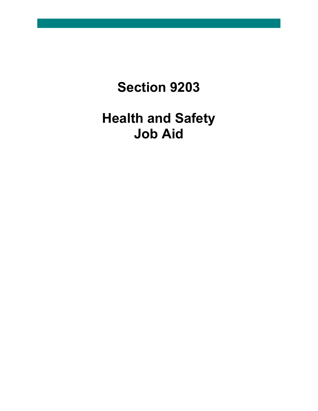# **Section 9203**

# **Health and Safety Job Aid**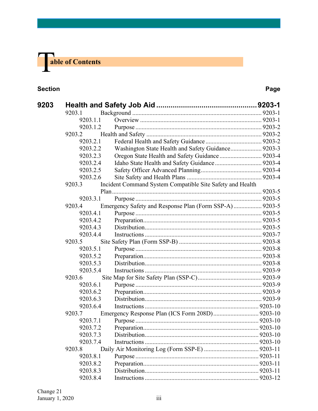

#### **Section Page**

| 9203 |          |                                                           |         |
|------|----------|-----------------------------------------------------------|---------|
|      | 9203.1   |                                                           |         |
|      | 9203.1.1 |                                                           |         |
|      | 9203.1.2 |                                                           |         |
|      | 9203.2   |                                                           |         |
|      | 9203.2.1 |                                                           |         |
|      | 9203.2.2 | Washington State Health and Safety Guidance 9203-3        |         |
|      | 9203.2.3 |                                                           |         |
|      | 9203.2.4 |                                                           |         |
|      | 9203.2.5 |                                                           |         |
|      | 9203.2.6 |                                                           |         |
|      | 9203.3   | Incident Command System Compatible Site Safety and Health |         |
|      |          |                                                           |         |
|      | 9203.3.1 |                                                           |         |
|      | 9203.4   | Emergency Safety and Response Plan (Form SSP-A) 9203-5    |         |
|      | 9203.4.1 |                                                           |         |
|      | 9203.4.2 |                                                           |         |
|      | 9203.4.3 |                                                           |         |
|      | 9203.4.4 |                                                           |         |
|      | 9203.5   |                                                           |         |
|      | 9203.5.1 |                                                           |         |
|      | 9203.5.2 |                                                           |         |
|      | 9203.5.3 |                                                           |         |
|      | 9203.5.4 |                                                           |         |
|      | 9203.6   |                                                           |         |
|      | 9203.6.1 |                                                           |         |
|      | 9203.6.2 |                                                           |         |
|      | 9203.6.3 |                                                           |         |
|      | 9203.6.4 |                                                           |         |
|      | 9203.7   |                                                           |         |
|      | 9203.7.1 |                                                           |         |
|      | 9203.7.2 |                                                           |         |
|      | 9203.7.3 |                                                           | 9203-10 |
|      | 9203.7.4 |                                                           |         |
|      | 9203.8   |                                                           |         |
|      | 9203.8.1 |                                                           |         |
|      | 9203.8.2 |                                                           |         |
|      | 9203.8.3 |                                                           |         |
|      | 9203.8.4 |                                                           |         |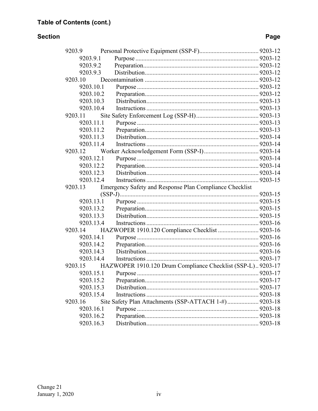#### **Section**

### Page

| 9203.9    |                                                             |  |
|-----------|-------------------------------------------------------------|--|
| 9203.9.1  |                                                             |  |
| 9203.9.2  |                                                             |  |
| 9203.9.3  |                                                             |  |
| 9203.10   |                                                             |  |
| 9203.10.1 |                                                             |  |
| 9203.10.2 |                                                             |  |
| 9203.10.3 |                                                             |  |
| 9203.10.4 |                                                             |  |
| 9203.11   |                                                             |  |
| 9203.11.1 |                                                             |  |
| 9203.11.2 |                                                             |  |
| 9203.11.3 |                                                             |  |
| 9203.11.4 |                                                             |  |
| 9203.12   |                                                             |  |
| 9203.12.1 |                                                             |  |
| 9203.12.2 |                                                             |  |
| 9203.12.3 |                                                             |  |
| 9203.12.4 |                                                             |  |
| 9203.13   | Emergency Safety and Response Plan Compliance Checklist     |  |
|           |                                                             |  |
| 9203.13.1 |                                                             |  |
| 9203.13.2 |                                                             |  |
| 9203.13.3 |                                                             |  |
| 9203.13.4 |                                                             |  |
| 9203.14   |                                                             |  |
| 9203.14.1 |                                                             |  |
| 9203.14.2 |                                                             |  |
| 9203.14.3 |                                                             |  |
| 9203.14.4 |                                                             |  |
| 9203.15   | HAZWOPER 1910.120 Drum Compliance Checklist (SSP-L) 9203-17 |  |
| 9203.15.1 |                                                             |  |
| 9203.15.2 |                                                             |  |
| 9203.15.3 |                                                             |  |
| 9203.15.4 |                                                             |  |
| 9203.16   | Site Safety Plan Attachments (SSP-ATTACH 1-#) 9203-18       |  |
| 9203.16.1 |                                                             |  |
| 9203.16.2 |                                                             |  |
| 9203.16.3 |                                                             |  |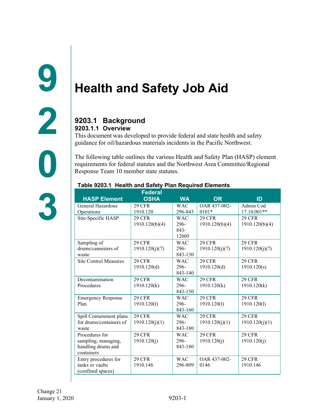# <span id="page-3-1"></span><span id="page-3-0"></span>**Health and Safety Job Aid**

#### <span id="page-3-2"></span>**9203.1 Background 9203.1.1 Overview**

<span id="page-3-3"></span>This document was developed to provide federal and state health and safety guidance for oil/hazardous materials incidents in the Pacific Northwest.

The following table outlines the various Health and Safety Plan (HASP) element requirements for federal statutes and the Northwest Area Committee/Regional Response Team 10 member state statutes.

|                              | Federal        |            |                |                |
|------------------------------|----------------|------------|----------------|----------------|
| <b>HASP Element</b>          | <b>OSHA</b>    | <b>WA</b>  | <b>OR</b>      | ID             |
| General Hazardous            | <b>29 CFR</b>  | <b>WAC</b> | OAR 437-002-   | Admin Cod      |
| Operations                   | 1910.120       | 296-843    | $0101*$        | 17.10.001**    |
| Site-Specific HASP           | <b>29 CFR</b>  | <b>WAC</b> | <b>29 CFR</b>  | <b>29 CFR</b>  |
|                              | 1910.120(b)(4) | 296-       | 1910.120(b)(4) | 1910.120(b)(4) |
|                              |                | $843-$     |                |                |
|                              |                | 12005      |                |                |
| Sampling of                  | <b>29 CFR</b>  | <b>WAC</b> | <b>29 CFR</b>  | <b>29 CFR</b>  |
| drums/cannisters of          | 1910.120(j)(7) | 296-       | 1910.120(j)(7) | 1910.120(j)(7) |
| waste                        |                | 843-130    |                |                |
| <b>Site Control Measures</b> | <b>29 CFR</b>  | <b>WAC</b> | <b>29 CFR</b>  | <b>29 CFR</b>  |
|                              | 1910.120(d)    | $296 -$    | 1910.120(d)    | 1910.120(s)    |
|                              |                | 843-140    |                |                |
| Decontamination              | <b>29 CFR</b>  | <b>WAC</b> | <b>29 CFR</b>  | <b>29 CFR</b>  |
| Procedures                   | 1910.120(k)    | 296-       | 1910.120(k)    | 1910.120(k)    |
|                              |                | 843-150    |                |                |
| <b>Emergency Response</b>    | <b>29 CFR</b>  | <b>WAC</b> | <b>29 CFR</b>  | <b>29 CFR</b>  |
| Plan                         | 1910.120(1)    | 296-       | 1910.120(1)    | 1910.120(1)    |
|                              |                | 843-160    |                |                |
| Spill Containment plans      | <b>29 CFR</b>  | <b>WAC</b> | <b>29 CFR</b>  | <b>29 CFR</b>  |
| for drums/containers of      | 1910.120(j)(1) | 296-       | 1910.120(j)(1) | 1910.120(j)(1) |
| waste                        |                | 843-180    |                |                |
| Procedures for               | <b>29 CFR</b>  | <b>WAC</b> | <b>29 CFR</b>  | <b>29 CFR</b>  |
| sampling, managing,          | 1910.120(j)    | 296-       | 1910.120(i)    | 1910.120(j)    |
| handling drums and           |                | 843-180    |                |                |
| containers                   |                |            |                |                |
| Entry procedures for         | <b>29 CFR</b>  | <b>WAC</b> | OAR 437-002-   | <b>29 CFR</b>  |
| tanks or vaults              | 1910.146       | 296-809    | 0146           | 1910.146       |
| (confined spaces)            |                |            |                |                |

#### **Table 9203.1 Health and Safety Plan Required Elements**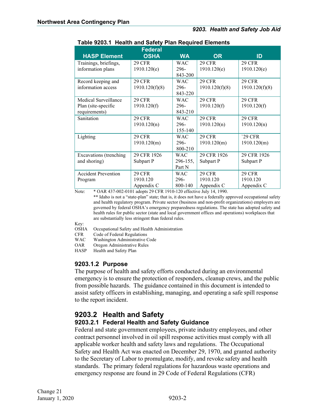| <b>HASP Element</b>        | <b>Federal</b><br><b>OSHA</b> | <b>WA</b>  | <b>OR</b>      | ID             |
|----------------------------|-------------------------------|------------|----------------|----------------|
| Trainings, briefings,      | <b>29 CFR</b>                 | <b>WAC</b> | <b>29 CFR</b>  | <b>29 CFR</b>  |
| information plans          | 1910.120(e)                   | 296-       | 1910.120(e)    | 1910.120(e)    |
|                            |                               | 843-200    |                |                |
| Record keeping and         | <b>29 CFR</b>                 | <b>WAC</b> | <b>29 CFR</b>  | <b>29 CFR</b>  |
| information access         | 1910.120(f)(8)                | 296-       | 1910.120(f)(8) | 1910.120(f)(8) |
|                            |                               | 843-220    |                |                |
| Medical Surveillance       | <b>29 CFR</b>                 | <b>WAC</b> | <b>29 CFR</b>  | <b>29 CFR</b>  |
| Plan (site-specific        | 1910.120(f)                   | 296-       | 1910.120(f)    | 1910.120(f)    |
| requirements)              |                               | 843-210    |                |                |
| Sanitation                 | <b>29 CFR</b>                 | <b>WAC</b> | <b>29 CFR</b>  | <b>29 CFR</b>  |
|                            | 1910.120(n)                   | 296-       | 1910.120(n)    | 1910.120(n)    |
|                            |                               | 155-140    |                |                |
| Lighting                   | <b>29 CFR</b>                 | <b>WAC</b> | <b>29 CFR</b>  | `29 CFR        |
|                            | 1910.120(m)                   | 296-       | 1910.120(m)    | 1910.120(m)    |
|                            |                               | 800-210    |                |                |
| Excavations (trenching     | 29 CFR 1926                   | <b>WAC</b> | 29 CFR 1926    | 29 CFR 1926    |
| and shoring)               | Subpart P                     | 296-155,   | Subpart P      | Subpart P      |
|                            |                               | Part N     |                |                |
| <b>Accident Prevention</b> | <b>29 CFR</b>                 | <b>WAC</b> | <b>29 CFR</b>  | <b>29 CFR</b>  |
| Program                    | 1910.120                      | 296-       | 1910.120       | 1910.120       |
|                            | Appendix C                    | 800-140    | Appendix C     | Appendix C     |

#### **Table 9203.1 Health and Safety Plan Required Elements**

Note: \* OAR 437-002-0101 adopts 29 CFR 1910-120 effective July 14, 1990.

\*\* Idaho is not a "state-plan" state; that is, it does not have a federally approved occupational safety and health regulatory program. Private sector (business and non-profit organizations) employers are governed by federal OSHA's emergency preparedness regulations. The state has adopted safety and health rules for public sector (state and local government offices and operations) workplaces that are substantially less stringent than federal rules.

Key:

OSHA Occupational Safety and Health Administration

CFR Code of Federal Regulations<br>WAC Washington Administrative (

Washington Administrative Code

OAR Oregon Administrative Rules

HASP Health and Safety Plan

#### <span id="page-4-0"></span>**9203.1.2 Purpose**

The purpose of health and safety efforts conducted during an environmental emergency is to ensure the protection of responders, cleanup crews, and the public from possible hazards. The guidance contained in this document is intended to assist safety officers in establishing, managing, and operating a safe spill response to the report incident.

#### <span id="page-4-1"></span>**9203.2 Health and Safety 9203.2.1 Federal Health and Safety Guidance**

<span id="page-4-2"></span>Federal and state government employees, private industry employees, and other contract personnel involved in oil spill response activities must comply with all applicable worker health and safety laws and regulations. The Occupational Safety and Health Act was enacted on December 29, 1970, and granted authority to the Secretary of Labor to promulgate, modify, and revoke safety and health standards. The primary federal regulations for hazardous waste operations and emergency response are found in 29 Code of Federal Regulations (CFR)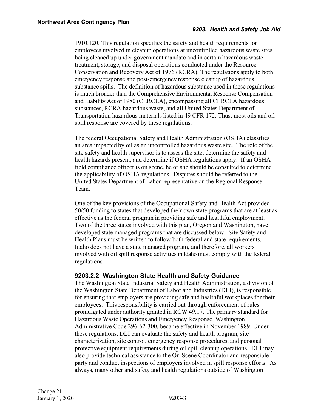1910.120. This regulation specifies the safety and health requirements for employees involved in cleanup operations at uncontrolled hazardous waste sites being cleaned up under government mandate and in certain hazardous waste treatment, storage, and disposal operations conducted under the Resource Conservation and Recovery Act of 1976 (RCRA). The regulations apply to both emergency response and post-emergency response cleanup of hazardous substance spills. The definition of hazardous substance used in these regulations is much broader than the Comprehensive Environmental Response Compensation and Liability Act of 1980 (CERCLA), encompassing all CERCLA hazardous substances, RCRA hazardous waste, and all United States Department of Transportation hazardous materials listed in 49 CFR 172. Thus, most oils and oil spill response are covered by these regulations.

The federal Occupational Safety and Health Administration (OSHA) classifies an area impacted by oil as an uncontrolled hazardous waste site. The role of the site safety and health supervisor is to assess the site, determine the safety and health hazards present, and determine if OSHA regulations apply. If an OSHA field compliance officer is on scene, he or she should be consulted to determine the applicability of OSHA regulations. Disputes should be referred to the United States Department of Labor representative on the Regional Response Team.

One of the key provisions of the Occupational Safety and Health Act provided 50/50 funding to states that developed their own state programs that are at least as effective as the federal program in providing safe and healthful employment. Two of the three states involved with this plan, Oregon and Washington, have developed state managed programs that are discussed below. Site Safety and Health Plans must be written to follow both federal and state requirements. Idaho does not have a state managed program, and therefore, all workers involved with oil spill response activities in Idaho must comply with the federal regulations.

#### <span id="page-5-0"></span>**9203.2.2 Washington State Health and Safety Guidance**

The Washington State Industrial Safety and Health Administration, a division of the Washington State Department of Labor and Industries (DLI), is responsible for ensuring that employers are providing safe and healthful workplaces for their employees. This responsibility is carried out through enforcement of rules promulgated under authority granted in RCW 49.17. The primary standard for Hazardous Waste Operations and Emergency Response, Washington Administrative Code 296-62-300, became effective in November 1989. Under these regulations, DLI can evaluate the safety and health program, site characterization, site control, emergency response procedures, and personal protective equipment requirements during oil spill cleanup operations. DLI may also provide technical assistance to the On-Scene Coordinator and responsible party and conduct inspections of employers involved in spill response efforts. As always, many other and safety and health regulations outside of Washington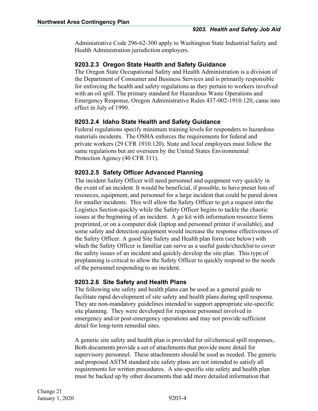Administrative Code 296-62-300 apply to Washington State Industrial Safety and Health Administration jurisdiction employers.

#### <span id="page-6-0"></span>**9203.2.3 Oregon State Health and Safety Guidance**

The Oregon State Occupational Safety and Health Administration is a division of the Department of Consumer and Business Services and is primarily responsible for enforcing the health and safety regulations as they pertain to workers involved with an oil spill. The primary standard for Hazardous Waste Operations and Emergency Response, Oregon Administrative Rules 437-002-1910.120, came into effect in July of 1990.

#### <span id="page-6-1"></span>**9203.2.4 Idaho State Health and Safety Guidance**

Federal regulations specify minimum training levels for responders to hazardous materials incidents. The OSHA enforces the requirements for federal and private workers (29 CFR 1910.120). State and local employees must follow the same regulations but are overseen by the United States Environmental Protection Agency (40 CFR 311).

#### <span id="page-6-2"></span>**9203.2.5 Safety Officer Advanced Planning**

The incident Safety Officer will need personnel and equipment very quickly in the event of an incident. It would be beneficial, if possible, to have preset lists of resources, equipment, and personnel for a large incident that could be pared down for smaller incidents. This will allow the Safety Officer to get a request into the Logistics Section quickly while the Safety Officer begins to tackle the chaotic issues at the beginning of an incident. A go kit with information resource forms preprinted, or on a computer disk (laptop and personnel printer if available), and some safety and detection equipment would increase the response effectiveness of the Safety Officer. A good Site Safety and Health plan form (see below) with which the Safety Officer is familiar can serve as a useful guide/checklist to cover the safety issues of an incident and quickly develop the site plan. This type of preplanning is critical to allow the Safety Officer to quickly respond to the needs of the personnel responding to an incident.

#### <span id="page-6-3"></span>**9203.2.6 Site Safety and Health Plans**

The following site safety and health plans can be used as a general guide to facilitate rapid development of site safety and health plans during spill response. They are non-mandatory guidelines intended to support appropriate site-specific site planning. They were developed for response personnel involved in emergency and/or post-emergency operations and may not provide sufficient detail for long-term remedial sites.

A generic site safety and health plan is provided for oil/chemical spill responses,. Both documents provide a set of attachments that provide more detail for supervisory personnel. These attachments should be used as needed. The generic and proposed ASTM standard site safety plans are not intended to satisfy all requirements for written procedures. A site-specific site safety and health plan must be backed up by other documents that add more detailed information that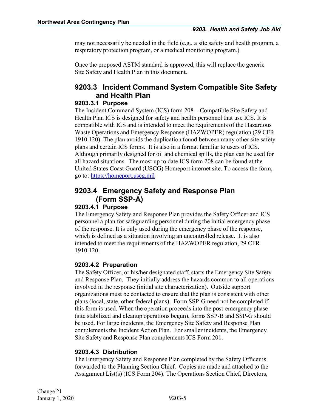may not necessarily be needed in the field (e.g., a site safety and health program, a respiratory protection program, or a medical monitoring program.)

Once the proposed ASTM standard is approved, this will replace the generic Site Safety and Health Plan in this document.

#### <span id="page-7-0"></span>**9203.3 Incident Command System Compatible Site Safety and Health Plan**

#### <span id="page-7-1"></span>**9203.3.1 Purpose**

The Incident Command System (ICS) form 208 – Compatible Site Safety and Health Plan ICS is designed for safety and health personnel that use ICS. It is compatible with ICS and is intended to meet the requirements of the Hazardous Waste Operations and Emergency Response (HAZWOPER) regulation (29 CFR 1910.120). The plan avoids the duplication found between many other site safety plans and certain ICS forms. It is also in a format familiar to users of ICS. Although primarily designed for oil and chemical spills, the plan can be used for all hazard situations. The most up to date ICS form 208 can be found at the United States Coast Guard (USCG) Homeport internet site. To access the form, go to: [https://homeport.uscg.mil](https://homeport.uscg.mil/Lists/Content/DispForm.aspx?ID=2914&Source=https%3A%2F%2Fhomeport%2Euscg%2Emil%2FLists%2FContent%2FAllItems%2Easpx%3FFolderCTID%3D0x0120000E1974747CF5994A9834CB1D1E782497%26View%3D%7B9bd1ee24%2D648a%2D44d6%2Dab55%2D2b397ef7c94b%7D%26RootFolder%3D%252FLists%252FContent%252FPreparedness%26SortField%3DPublishingLocation%26SortDir%3DAsc&ContentTypeId=0x010077A263807AAFE54DBF09C291D3EAA816008BFEC11A80BC564EB4241068A94ACD2E)

#### <span id="page-7-2"></span>**9203.4 Emergency Safety and Response Plan (Form SSP-A)**

#### <span id="page-7-3"></span>**9203.4.1 Purpose**

The Emergency Safety and Response Plan provides the Safety Officer and ICS personnel a plan for safeguarding personnel during the initial emergency phase of the response. It is only used during the emergency phase of the response, which is defined as a situation involving an uncontrolled release. It is also intended to meet the requirements of the HAZWOPER regulation, 29 CFR 1910.120.

#### <span id="page-7-4"></span>**9203.4.2 Preparation**

The Safety Officer, or his/her designated staff, starts the Emergency Site Safety and Response Plan. They initially address the hazards common to all operations involved in the response (initial site characterization). Outside support organizations must be contacted to ensure that the plan is consistent with other plans (local, state, other federal plans). Form SSP-G need not be completed if this form is used. When the operation proceeds into the post-emergency phase (site stabilized and cleanup operations begun), forms SSP-B and SSP-G should be used. For large incidents, the Emergency Site Safety and Response Plan complements the Incident Action Plan. For smaller incidents, the Emergency Site Safety and Response Plan complements ICS Form 201.

#### <span id="page-7-5"></span>**9203.4.3 Distribution**

The Emergency Safety and Response Plan completed by the Safety Officer is forwarded to the Planning Section Chief. Copies are made and attached to the Assignment List(s) (ICS Form 204). The Operations Section Chief, Directors,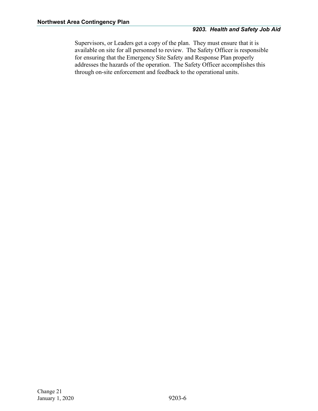Supervisors, or Leaders get a copy of the plan. They must ensure that it is available on site for all personnel to review. The Safety Officer is responsible for ensuring that the Emergency Site Safety and Response Plan properly addresses the hazards of the operation. The Safety Officer accomplishes this through on-site enforcement and feedback to the operational units.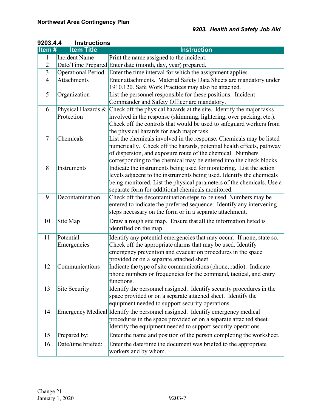| 92UJ.4.4       | <b>INSTRUCTIONS</b>       |                                                                               |
|----------------|---------------------------|-------------------------------------------------------------------------------|
| Item#          | <b>Item Title</b>         | <b>Instruction</b>                                                            |
| 1              | <b>Incident Name</b>      | Print the name assigned to the incident.                                      |
| $\overline{2}$ |                           | Date/Time Prepared Enter date (month, day, year) prepared.                    |
| $\overline{3}$ | <b>Operational Period</b> | Enter the time interval for which the assignment applies.                     |
| $\overline{4}$ | <b>Attachments</b>        | Enter attachments. Material Safety Data Sheets are mandatory under            |
|                |                           | 1910.120. Safe Work Practices may also be attached.                           |
| 5              | Organization              | List the personnel responsible for these positions. Incident                  |
|                |                           | Commander and Safety Officer are mandatory.                                   |
| 6              | Physical Hazards &        | Check off the physical hazards at the site. Identify the major tasks          |
|                | Protection                | involved in the response (skimming, lightering, over packing, etc.).          |
|                |                           | Check off the controls that would be used to safeguard workers from           |
|                |                           | the physical hazards for each major task.                                     |
| $\overline{7}$ | Chemicals                 | List the chemicals involved in the response. Chemicals may be listed          |
|                |                           | numerically. Check off the hazards, potential health effects, pathway         |
|                |                           | of dispersion, and exposure route of the chemical. Numbers                    |
|                |                           | corresponding to the chemical may be entered into the check blocks            |
| 8              | Instruments               | Indicate the instruments being used for monitoring. List the action           |
|                |                           | levels adjacent to the instruments being used. Identify the chemicals         |
|                |                           | being monitored. List the physical parameters of the chemicals. Use a         |
|                |                           | separate form for additional chemicals monitored.                             |
| 9              | Decontamination           | Check off the decontamination steps to be used. Numbers may be                |
|                |                           | entered to indicate the preferred sequence. Identify any intervening          |
|                |                           | steps necessary on the form or in a separate attachment.                      |
| 10             | Site Map                  | Draw a rough site map. Ensure that all the information listed is              |
|                |                           | identified on the map.                                                        |
| 11             | Potential                 | Identify any potential emergencies that may occur. If none, state so.         |
|                | Emergencies               | Check off the appropriate alarms that may be used. Identify                   |
|                |                           | emergency prevention and evacuation procedures in the space                   |
|                |                           | provided or on a separate attached sheet.                                     |
| 12             | Communications            | Indicate the type of site communications (phone, radio). Indicate             |
|                |                           | phone numbers or frequencies for the command, tactical, and entry             |
|                |                           | functions.                                                                    |
| 13             | Site Security             | Identify the personnel assigned. Identify security procedures in the          |
|                |                           | space provided or on a separate attached sheet. Identify the                  |
|                |                           | equipment needed to support security operations.                              |
| 14             |                           | Emergency Medical Identify the personnel assigned. Identify emergency medical |
|                |                           | procedures in the space provided or on a separate attached sheet.             |
|                |                           | Identify the equipment needed to support security operations.                 |
| 15             | Prepared by:              | Enter the name and position of the person completing the worksheet.           |
|                |                           |                                                                               |
| 16             | Date/time briefed:        | Enter the date/time the document was briefed to the appropriate               |
|                |                           | workers and by whom.                                                          |

#### <span id="page-9-0"></span>**9203.4.4 Instructions**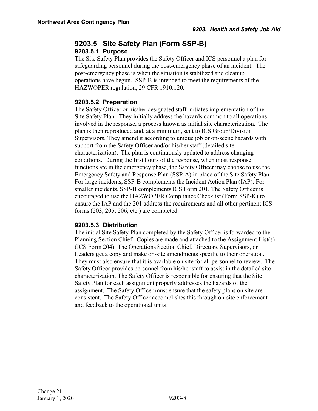#### <span id="page-10-0"></span>**9203.5 Site Safety Plan (Form SSP-B) 9203.5.1 Purpose**

<span id="page-10-1"></span>The Site Safety Plan provides the Safety Officer and ICS personnel a plan for safeguarding personnel during the post-emergency phase of an incident. The post-emergency phase is when the situation is stabilized and cleanup operations have begun. SSP-B is intended to meet the requirements of the HAZWOPER regulation, 29 CFR 1910.120.

#### <span id="page-10-2"></span>**9203.5.2 Preparation**

The Safety Officer or his/her designated staff initiates implementation of the Site Safety Plan. They initially address the hazards common to all operations involved in the response, a process known as initial site characterization. The plan is then reproduced and, at a minimum, sent to ICS Group/Division Supervisors. They amend it according to unique job or on-scene hazards with support from the Safety Officer and/or his/her staff (detailed site characterization). The plan is continuously updated to address changing conditions. During the first hours of the response, when most response functions are in the emergency phase, the Safety Officer may choose to use the Emergency Safety and Response Plan (SSP-A) in place of the Site Safety Plan. For large incidents, SSP-B complements the Incident Action Plan (IAP). For smaller incidents, SSP-B complements ICS Form 201. The Safety Officer is encouraged to use the HAZWOPER Compliance Checklist (Form SSP-K) to ensure the IAP and the 201 address the requirements and all other pertinent ICS forms (203, 205, 206, etc.) are completed.

#### <span id="page-10-3"></span>**9203.5.3 Distribution**

The initial Site Safety Plan completed by the Safety Officer is forwarded to the Planning Section Chief. Copies are made and attached to the Assignment List(s) (ICS Form 204). The Operations Section Chief, Directors, Supervisors, or Leaders get a copy and make on-site amendments specific to their operation. They must also ensure that it is available on site for all personnel to review. The Safety Officer provides personnel from his/her staff to assist in the detailed site characterization. The Safety Officer is responsible for ensuring that the Site Safety Plan for each assignment properly addresses the hazards of the assignment. The Safety Officer must ensure that the safety plans on site are consistent. The Safety Officer accomplishes this through on-site enforcement and feedback to the operational units.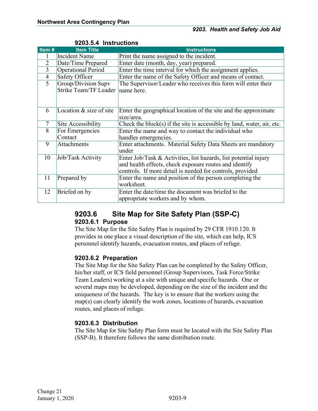|                | 920J.J.4 TIISUUGUUIIS        |                                                                           |  |  |
|----------------|------------------------------|---------------------------------------------------------------------------|--|--|
| Item#          | <b>Item Title</b>            | <b>Instructions</b>                                                       |  |  |
|                | Incident Name                | Print the name assigned to the incident.                                  |  |  |
| $\overline{2}$ | Date/Time Prepared           | Enter date (month, day, year) prepared.                                   |  |  |
| 3              | <b>Operational Period</b>    | Enter the time interval for which the assignment applies.                 |  |  |
| $\overline{4}$ | <b>Safety Officer</b>        | Enter the name of the Safety Officer and means of contact.                |  |  |
| $\overline{5}$ | Group/Division Supv          | The Supervisor/Leader who receives this form will enter their             |  |  |
|                | <b>Strike Team/TF Leader</b> | name here.                                                                |  |  |
|                |                              |                                                                           |  |  |
|                |                              |                                                                           |  |  |
| 6              | Location $&$ size of site    | Enter the geographical location of the site and the approximate           |  |  |
|                |                              | size/area.                                                                |  |  |
| $\overline{7}$ | Site Accessibility           | Check the block $(s)$ if the site is accessible by land, water, air, etc. |  |  |
| 8              | For Emergencies              | Enter the name and way to contact the individual who                      |  |  |
|                | Contact                      | handles emergencies.                                                      |  |  |
| 9              | Attachments                  | Enter attachments. Material Safety Data Sheets are mandatory              |  |  |
|                |                              | under                                                                     |  |  |
| 10             | Job/Task Activity            | Enter Job/Task & Activities, list hazards, list potential injury          |  |  |
|                |                              | and health effects, check exposure routes and identify                    |  |  |
|                |                              | controls. If more detail is needed for controls, provided                 |  |  |
| 11             | Prepared by                  | Enter the name and position of the person completing the                  |  |  |
|                |                              | worksheet.                                                                |  |  |
| 12             | Briefed on by                | Enter the date/time the document was briefed to the                       |  |  |
|                |                              | appropriate workers and by whom.                                          |  |  |

#### <span id="page-11-0"></span>**9203.5.4 Instructions**

# <span id="page-11-1"></span>**9203.6 Site Map for Site Safety Plan (SSP-C)**

#### <span id="page-11-2"></span>**9203.6.1 Purpose**

The Site Map for the Site Safety Plan is required by 29 CFR 1910.120. It provides in one place a visual description of the site, which can help, ICS personnel identify hazards, evacuation routes, and places of refuge.

#### <span id="page-11-3"></span>**9203.6.2 Preparation**

The Site Map for the Site Safety Plan can be completed by the Safety Officer, his/her staff, or ICS field personnel (Group Supervisors, Task Force/Strike Team Leaders) working at a site with unique and specific hazards. One or several maps may be developed, depending on the size of the incident and the uniqueness of the hazards. The key is to ensure that the workers using the map(s) can clearly identify the work zones, locations of hazards, evacuation routes, and places of refuge.

#### <span id="page-11-4"></span>**9203.6.3 Distribution**

The Site Map for Site Safety Plan form must be located with the Site Safety Plan (SSP-B). It therefore follows the same distribution route.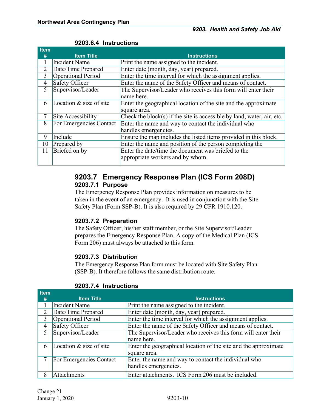| <b>Item</b>    |                            |                                                                           |
|----------------|----------------------------|---------------------------------------------------------------------------|
| #              | <b>Item Title</b>          | <b>Instructions</b>                                                       |
|                | Incident Name              | Print the name assigned to the incident.                                  |
| $\overline{2}$ | Date/Time Prepared         | Enter date (month, day, year) prepared.                                   |
| 3              | <b>Operational Period</b>  | Enter the time interval for which the assignment applies.                 |
| $\overline{4}$ | Safety Officer             | Enter the name of the Safety Officer and means of contact.                |
| 5              | Supervisor/Leader          | The Supervisor/Leader who receives this form will enter their             |
|                |                            | name here.                                                                |
| 6              | Location $\&$ size of site | Enter the geographical location of the site and the approximate           |
|                |                            | square area.                                                              |
| $\overline{7}$ | Site Accessibility         | Check the block $(s)$ if the site is accessible by land, water, air, etc. |
| 8              | For Emergencies Contact    | Enter the name and way to contact the individual who                      |
|                |                            | handles emergencies.                                                      |
| 9              | Include                    | Ensure the map includes the listed items provided in this block.          |
| 10             | Prepared by                | Enter the name and position of the person completing the                  |
| 11             | Briefed on by              | Enter the date/time the document was briefed to the                       |
|                |                            | appropriate workers and by whom.                                          |
|                |                            |                                                                           |

#### <span id="page-12-0"></span>**9203.6.4 Instructions**

#### <span id="page-12-1"></span>**9203.7 Emergency Response Plan (ICS Form 208D) 9203.7.1 Purpose**

<span id="page-12-2"></span>The Emergency Response Plan provides information on measures to be taken in the event of an emergency. It is used in conjunction with the Site Safety Plan (Form SSP-B). It is also required by 29 CFR 1910.120.

#### <span id="page-12-3"></span>**9203.7.2 Preparation**

The Safety Officer, his/her staff member, or the Site Supervisor/Leader prepares the Emergency Response Plan. A copy of the Medical Plan (ICS Form 206) must always be attached to this form.

#### <span id="page-12-4"></span>**9203.7.3 Distribution**

The Emergency Response Plan form must be located with Site Safety Plan (SSP-B). It therefore follows the same distribution route.

| <b>Item</b>    |                         |                                                                 |
|----------------|-------------------------|-----------------------------------------------------------------|
| #              | <b>Item Title</b>       | <b>Instructions</b>                                             |
|                | <b>Incident Name</b>    | Print the name assigned to the incident.                        |
| 2              | Date/Time Prepared      | Enter date (month, day, year) prepared.                         |
| 3              | Operational Period      | Enter the time interval for which the assignment applies.       |
| $\overline{4}$ | Safety Officer          | Enter the name of the Safety Officer and means of contact.      |
| 5              | Supervisor/Leader       | The Supervisor/Leader who receives this form will enter their   |
|                |                         | name here.                                                      |
| 6              | Location & size of site | Enter the geographical location of the site and the approximate |
|                |                         | square area.                                                    |
|                | For Emergencies Contact | Enter the name and way to contact the individual who            |
|                |                         | handles emergencies.                                            |
| 8              | Attachments             | Enter attachments. ICS Form 206 must be included.               |

#### <span id="page-12-5"></span>**9203.7.4 Instructions**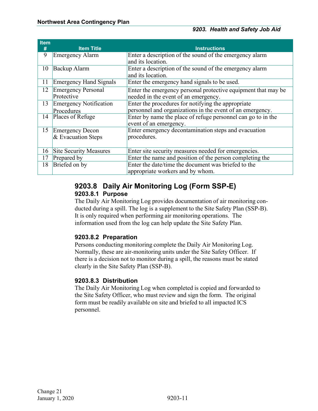| <b>Item</b> |                               |                                                               |
|-------------|-------------------------------|---------------------------------------------------------------|
| #           | <b>Item Title</b>             | <b>Instructions</b>                                           |
| 9           | <b>Emergency Alarm</b>        | Enter a description of the sound of the emergency alarm       |
|             |                               | and its location.                                             |
| 10          | Backup Alarm                  | Enter a description of the sound of the emergency alarm       |
|             |                               | and its location.                                             |
| 11          | <b>Emergency Hand Signals</b> | Enter the emergency hand signals to be used.                  |
| 12          | <b>Emergency Personal</b>     | Enter the emergency personal protective equipment that may be |
|             | Protective                    | needed in the event of an emergency.                          |
| 13          | Emergency Notification        | Enter the procedures for notifying the appropriate            |
|             | Procedures                    | personnel and organizations in the event of an emergency.     |
| 14          | Places of Refuge              | Enter by name the place of refuge personnel can go to in the  |
|             |                               | event of an emergency.                                        |
| 15          | <b>Emergency Decon</b>        | Enter emergency decontamination steps and evacuation          |
|             | $&$ Evacuation Steps          | procedures.                                                   |
|             |                               |                                                               |
| 16          | <b>Site Security Measures</b> | Enter site security measures needed for emergencies.          |
| 17          | Prepared by                   | Enter the name and position of the person completing the      |
| 18          | Briefed on by                 | Enter the date/time the document was briefed to the           |
|             |                               | appropriate workers and by whom.                              |

#### <span id="page-13-0"></span>**9203.8 Daily Air Monitoring Log (Form SSP-E) 9203.8.1 Purpose**

<span id="page-13-1"></span>The Daily Air Monitoring Log provides documentation of air monitoring conducted during a spill. The log is a supplement to the Site Safety Plan (SSP-B). It is only required when performing air monitoring operations. The information used from the log can help update the Site Safety Plan.

#### <span id="page-13-2"></span>**9203.8.2 Preparation**

Persons conducting monitoring complete the Daily Air Monitoring Log. Normally, these are air-monitoring units under the Site Safety Officer. If there is a decision not to monitor during a spill, the reasons must be stated clearly in the Site Safety Plan (SSP-B).

#### <span id="page-13-3"></span>**9203.8.3 Distribution**

The Daily Air Monitoring Log when completed is copied and forwarded to the Site Safety Officer, who must review and sign the form. The original form must be readily available on site and briefed to all impacted ICS personnel.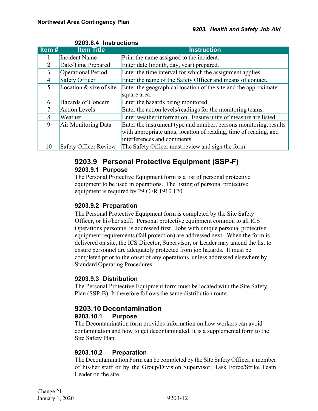| Item # | <b>Item Title</b>            | <b>Instruction</b>                                                |  |  |
|--------|------------------------------|-------------------------------------------------------------------|--|--|
|        | <b>Incident Name</b>         | Print the name assigned to the incident.                          |  |  |
| 2      | Date/Time Prepared           | Enter date (month, day, year) prepared.                           |  |  |
| 3      | Operational Period           | Enter the time interval for which the assignment applies.         |  |  |
| 4      | Safety Officer               | Enter the name of the Safety Officer and means of contact.        |  |  |
| 5      | Location & size of site      | Enter the geographical location of the site and the approximate   |  |  |
|        |                              | square area.                                                      |  |  |
| 6      | Hazards of Concern           | Enter the hazards being monitored.                                |  |  |
|        | <b>Action Levels</b>         | Enter the action levels/readings for the monitoring teams.        |  |  |
| 8      | Weather                      | Enter weather information. Ensure units of measure are listed.    |  |  |
| 9      | Air Monitoring Data          | Enter the instrument type and number, persons monitoring, results |  |  |
|        |                              | with appropriate units, location of reading, time of reading, and |  |  |
|        |                              | interferences and comments.                                       |  |  |
| 10     | <b>Safety Officer Review</b> | The Safety Officer must review and sign the form.                 |  |  |

#### <span id="page-14-0"></span>**9203.8.4 Instructions**

#### <span id="page-14-1"></span>**9203.9 Personal Protective Equipment (SSP-F) 9203.9.1 Purpose**

<span id="page-14-2"></span>The Personal Protective Equipment form is a list of personal protective equipment to be used in operations. The listing of personal protective equipment is required by 29 CFR 1910.120.

#### <span id="page-14-3"></span>**9203.9.2 Preparation**

The Personal Protective Equipment form is completed by the Site Safety Officer, or his/her staff. Personal protective equipment common to all ICS Operations personnel is addressed first. Jobs with unique personal protective equipment requirements (fall protection) are addressed next. When the form is delivered on site, the ICS Director, Supervisor, or Leader may amend the list to ensure personnel are adequately protected from job hazards. It must be completed prior to the onset of any operations, unless addressed elsewhere by Standard Operating Procedures.

#### <span id="page-14-4"></span>**9203.9.3 Distribution**

The Personal Protective Equipment form must be located with the Site Safety Plan (SSP-B). It therefore follows the same distribution route.

#### <span id="page-14-5"></span>**9203.10 Decontamination 9203.10.1 Purpose**

<span id="page-14-6"></span>The Decontamination form provides information on how workers can avoid contamination and how to get decontaminated. It is a supplemental form to the Site Safety Plan.

#### <span id="page-14-7"></span>**9203.10.2 Preparation**

The Decontamination Form can be completed by the Site Safety Officer, a member of his/her staff or by the Group/Division Supervisor, Task Force/Strike Team Leader on the site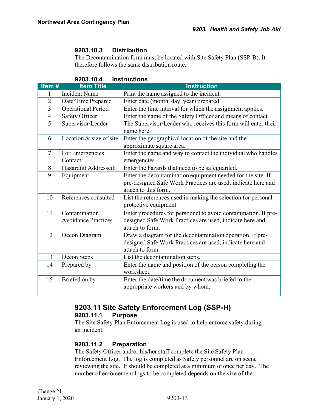#### <span id="page-15-0"></span>**9203.10.3 Distribution**

The Decontamination form must be located with Site Safety Plan (SSP-B). It therefore follows the same distribution route.

|                | J. I V. 7                                   |                                                                                                                                                     |  |  |
|----------------|---------------------------------------------|-----------------------------------------------------------------------------------------------------------------------------------------------------|--|--|
| Item#          | <b>Item Title</b>                           | <b>Instruction</b>                                                                                                                                  |  |  |
| 1              | <b>Incident Name</b>                        | Print the name assigned to the incident.                                                                                                            |  |  |
| $\overline{2}$ | Date/Time Prepared                          | Enter date (month, day, year) prepared.                                                                                                             |  |  |
| 3              | <b>Operational Period</b>                   | Enter the time interval for which the assignment applies.                                                                                           |  |  |
| $\overline{4}$ | Safety Officer                              | Enter the name of the Safety Officer and means of contact.                                                                                          |  |  |
| $\overline{5}$ | Supervisor/Leader                           | The Supervisor/Leader who receives this form will enter their<br>name here.                                                                         |  |  |
| 6              | Location & size of site                     | Enter the geographical location of the site and the<br>approximate square area.                                                                     |  |  |
| $\overline{7}$ | For Emergencies<br>Contact                  | Enter the name and way to contact the individual who handles<br>emergencies.                                                                        |  |  |
| 8              | Hazard(s) Addressed:                        | Enter the hazards that need to be safeguarded.                                                                                                      |  |  |
| 9              | Equipment                                   | Enter the decontamination equipment needed for the site. If<br>pre-designed Safe Work Practices are used, indicate here and<br>attach to this form. |  |  |
| 10             | References consulted                        | List the references used in making the selection for personal<br>protective equipment.                                                              |  |  |
| 11             | Contamination<br><b>Avoidance Practices</b> | Enter procedures for personnel to avoid contamination. If pre-<br>designed Safe Work Practices are used, indicate here and<br>attach to form.       |  |  |
| 12             | Decon Diagram                               | Draw a diagram for the decontamination operation. If pre-<br>designed Safe Work Practices are used, indicate here and<br>attach to form.            |  |  |
| 13             | Decon Steps                                 | List the decontamination steps.                                                                                                                     |  |  |
| 14             | Prepared by                                 | Enter the name and position of the person completing the<br>worksheet.                                                                              |  |  |
| 15             | Briefed on by                               | Enter the date/time the document was briefed to the<br>appropriate workers and by whom.                                                             |  |  |

#### <span id="page-15-1"></span>**9203.10.4 Instructions**

### <span id="page-15-2"></span>**9203.11 Site Safety Enforcement Log (SSP-H)**

#### <span id="page-15-3"></span>**9203.11.1 Purpose**

The Site Safety Plan Enforcement Log is used to help enforce safety during an incident.

#### <span id="page-15-4"></span>**9203.11.2 Preparation**

The Safety Officer and/or his/her staff complete the Site Safety Plan Enforcement Log. The log is completed as Safety personnel are on scene reviewing the site. It should be completed at a minimum of once per day. The number of enforcement logs to be completed depends on the size of the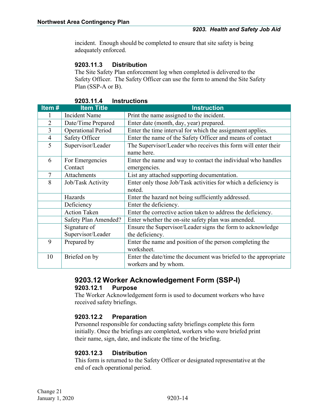incident. Enough should be completed to ensure that site safety is being adequately enforced.

#### <span id="page-16-0"></span>**9203.11.3 Distribution**

The Site Safety Plan enforcement log when completed is delivered to the Safety Officer. The Safety Officer can use the form to amend the Site Safety Plan (SSP-A or B).

| JZUJ. I I. <del>t</del><br>IIIƏLI UULIUIIƏ |                            |                                                                                         |  |
|--------------------------------------------|----------------------------|-----------------------------------------------------------------------------------------|--|
| Item#                                      | <b>Item Title</b>          | <b>Instruction</b>                                                                      |  |
|                                            | <b>Incident Name</b>       | Print the name assigned to the incident.                                                |  |
| $\overline{2}$                             | Date/Time Prepared         | Enter date (month, day, year) prepared.                                                 |  |
| 3                                          | <b>Operational Period</b>  | Enter the time interval for which the assignment applies.                               |  |
| $\overline{4}$                             | Safety Officer             | Enter the name of the Safety Officer and means of contact                               |  |
| 5                                          | Supervisor/Leader          | The Supervisor/Leader who receives this form will enter their<br>name here.             |  |
| 6                                          | For Emergencies<br>Contact | Enter the name and way to contact the individual who handles<br>emergencies.            |  |
|                                            |                            |                                                                                         |  |
| $\overline{7}$                             | Attachments                | List any attached supporting documentation.                                             |  |
| 8                                          | Job/Task Activity          | Enter only those Job/Task activities for which a deficiency is                          |  |
|                                            |                            | noted.                                                                                  |  |
|                                            | Hazards                    | Enter the hazard not being sufficiently addressed.                                      |  |
|                                            | Deficiency                 | Enter the deficiency.                                                                   |  |
|                                            | <b>Action Taken</b>        | Enter the corrective action taken to address the deficiency.                            |  |
|                                            | Safety Plan Amended?       | Enter whether the on-site safety plan was amended.                                      |  |
|                                            | Signature of               | Ensure the Supervisor/Leader signs the form to acknowledge                              |  |
|                                            | Supervisor/Leader          | the deficiency.                                                                         |  |
| 9                                          | Prepared by                | Enter the name and position of the person completing the                                |  |
|                                            |                            | worksheet.                                                                              |  |
| 10                                         | Briefed on by              | Enter the date/time the document was briefed to the appropriate<br>workers and by whom. |  |

#### <span id="page-16-1"></span>**9203.11.4 Instructions**

#### <span id="page-16-3"></span><span id="page-16-2"></span>**9203.12 Worker Acknowledgement Form (SSP-I) 9203.12.1 Purpose**

The Worker Acknowledgement form is used to document workers who have received safety briefings.

#### <span id="page-16-4"></span>**9203.12.2 Preparation**

Personnel responsible for conducting safety briefings complete this form initially. Once the briefings are completed, workers who were briefed print their name, sign, date, and indicate the time of the briefing.

#### <span id="page-16-5"></span>**9203.12.3 Distribution**

This form is returned to the Safety Officer or designated representative at the end of each operational period.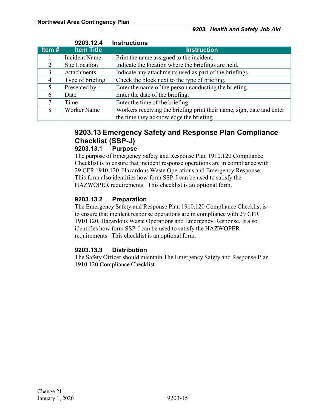<span id="page-17-0"></span>

|       | 9203.12.4            | <b>Instructions</b>                                                   |
|-------|----------------------|-----------------------------------------------------------------------|
| Item# | <b>Item Title</b>    | <b>Instruction</b>                                                    |
|       | <b>Incident Name</b> | Print the name assigned to the incident.                              |
| 2     | Site Location        | Indicate the location where the briefings are held.                   |
| 3     | <b>Attachments</b>   | Indicate any attachments used as part of the briefings.               |
| 4     | Type of briefing     | Check the block next to the type of briefing.                         |
| 5     | Presented by         | Enter the name of the person conducting the briefing.                 |
| 6     | Date                 | Enter the date of the briefing.                                       |
| 7     | Time                 | Enter the time of the briefing.                                       |
| 8     | Worker Name          | Workers receiving the briefing print their name, sign, date and enter |
|       |                      | the time they acknowledge the briefing.                               |

### <span id="page-17-1"></span>**9203.13 Emergency Safety and Response Plan Compliance Checklist (SSP-J)**

#### <span id="page-17-2"></span>**9203.13.1 Purpose**

The purpose of Emergency Safety and Response Plan 1910.120 Compliance Checklist is to ensure that incident response operations are in compliance with 29 CFR 1910.120, Hazardous Waste Operations and Emergency Response. This form also identifies how form SSP-J can be used to satisfy the HAZWOPER requirements. This checklist is an optional form.

#### <span id="page-17-3"></span>**9203.13.2 Preparation**

The Emergency Safety and Response Plan 1910.120 Compliance Checklist is to ensure that incident response operations are in compliance with 29 CFR 1910.120, Hazardous Waste Operations and Emergency Response. It also identifies how form SSP-J can be used to satisfy the HAZWOPER requirements. This checklist is an optional form.

#### <span id="page-17-4"></span>**9203.13.3 Distribution**

The Safety Officer should maintain The Emergency Safety and Response Plan 1910.120 Compliance Checklist.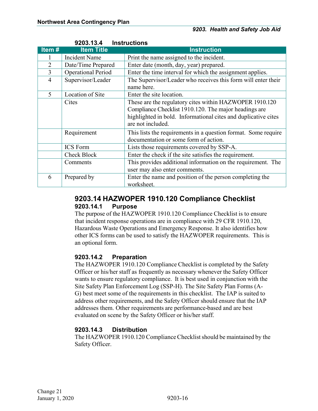<span id="page-18-0"></span>

|                | 9203.13.4                 | <b>Instructions</b>                                                                                                                                                                                     |  |  |  |
|----------------|---------------------------|---------------------------------------------------------------------------------------------------------------------------------------------------------------------------------------------------------|--|--|--|
| Item#          | <b>Item Title</b>         | <b>Instruction</b>                                                                                                                                                                                      |  |  |  |
|                | <b>Incident Name</b>      | Print the name assigned to the incident.                                                                                                                                                                |  |  |  |
| $\overline{2}$ | Date/Time Prepared        | Enter date (month, day, year) prepared.                                                                                                                                                                 |  |  |  |
| $\overline{3}$ | <b>Operational Period</b> | Enter the time interval for which the assignment applies.                                                                                                                                               |  |  |  |
| 4              | Supervisor/Leader         | The Supervisor/Leader who receives this form will enter their<br>name here.                                                                                                                             |  |  |  |
| 5              | Location of Site          | Enter the site location.                                                                                                                                                                                |  |  |  |
|                | Cites                     | These are the regulatory cites within HAZWOPER 1910.120<br>Compliance Checklist 1910.120. The major headings are<br>highlighted in bold. Informational cites and duplicative cites<br>are not included. |  |  |  |
|                | Requirement               | This lists the requirements in a question format. Some require<br>documentation or some form of action.                                                                                                 |  |  |  |
|                | <b>ICS</b> Form           | Lists those requirements covered by SSP-A.                                                                                                                                                              |  |  |  |
|                | <b>Check Block</b>        | Enter the check if the site satisfies the requirement.                                                                                                                                                  |  |  |  |
|                | Comments                  | This provides additional information on the requirement. The<br>user may also enter comments.                                                                                                           |  |  |  |
| 6              | Prepared by               | Enter the name and position of the person completing the<br>worksheet.                                                                                                                                  |  |  |  |

#### <span id="page-18-1"></span>**9203.14 HAZWOPER 1910.120 Compliance Checklist 9203.14.1 Purpose**

<span id="page-18-2"></span>The purpose of the HAZWOPER 1910.120 Compliance Checklist is to ensure that incident response operations are in compliance with 29 CFR 1910.120, Hazardous Waste Operations and Emergency Response. It also identifies how other ICS forms can be used to satisfy the HAZWOPER requirements. This is an optional form.

#### <span id="page-18-3"></span>**9203.14.2 Preparation**

The HAZWOPER 1910.120 Compliance Checklist is completed by the Safety Officer or his/her staff as frequently as necessary whenever the Safety Officer wants to ensure regulatory compliance. It is best used in conjunction with the Site Safety Plan Enforcement Log (SSP-H). The Site Safety Plan Forms (A-G) best meet some of the requirements in this checklist. The IAP is suited to address other requirements, and the Safety Officer should ensure that the IAP addresses them. Other requirements are performance-based and are best evaluated on scene by the Safety Officer or his/her staff.

#### <span id="page-18-4"></span>**9203.14.3 Distribution**

The HAZWOPER 1910.120 Compliance Checklist should be maintained by the Safety Officer.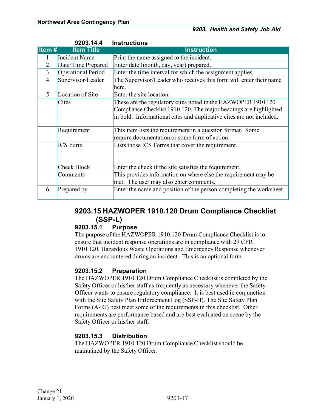<span id="page-19-0"></span>

|                | 9203.14.4                 | <b>Instructions</b>                                                  |
|----------------|---------------------------|----------------------------------------------------------------------|
| Item#          | <b>Item Title</b>         | <b>Instruction</b>                                                   |
|                | <b>Incident Name</b>      | Print the name assigned to the incident.                             |
| $\overline{2}$ | Date/Time Prepared        | Enter date (month, day, year) prepared.                              |
| $\overline{3}$ | <b>Operational Period</b> | Enter the time interval for which the assignment applies.            |
| $\overline{4}$ | Supervisor/Leader         | The Supervisor/Leader who receives this form will enter their name   |
|                |                           | here.                                                                |
| 5              | Location of Site          | Enter the site location.                                             |
|                | Cites                     | These are the regulatory cites noted in the HAZWOPER 1910.120        |
|                |                           | Compliance Checklist 1910.120. The major headings are highlighted    |
|                |                           | in bold. Informational cites and duplicative cites are not included. |
|                | Requirement               | This item lists the requirement in a question format. Some           |
|                |                           | require documentation or some form of action.                        |
|                | <b>ICS</b> Form           | Lists those ICS Forms that cover the requirement.                    |
|                | <b>Check Block</b>        | Enter the check if the site satisfies the requirement.               |
|                | Comments                  | This provides information on where else the requirement may be       |
|                |                           | met. The user may also enter comments.                               |
| 6              | Prepared by               | Enter the name and position of the person completing the worksheet.  |

#### <span id="page-19-1"></span>**9203.15 HAZWOPER 1910.120 Drum Compliance Checklist (SSP-L)**

#### <span id="page-19-2"></span>**9203.15.1 Purpose**

The purpose of the HAZWOPER 1910.120 Drum Compliance Checklist is to ensure that incident response operations are in compliance with 29 CFR 1910.120, Hazardous Waste Operations and Emergency Response whenever drums are encountered during an incident. This is an optional form.

#### <span id="page-19-3"></span>**9203.15.2 Preparation**

The HAZWOPER 1910.120 Drum Compliance Checklist is completed by the Safety Officer or his/her staff as frequently as necessary whenever the Safety Officer wants to ensure regulatory compliance. It is best used in conjunction with the Site Safety Plan Enforcement Log (SSP-H). The Site Safety Plan Forms (A- G) best meet some of the requirements in this checklist. Other requirements are performance based and are best evaluated on scene by the Safety Officer or his/her staff.

#### <span id="page-19-4"></span>**9203.15.3 Distribution**

The HAZWOPER 1910.120 Drum Compliance Checklist should be maintained by the Safety Officer.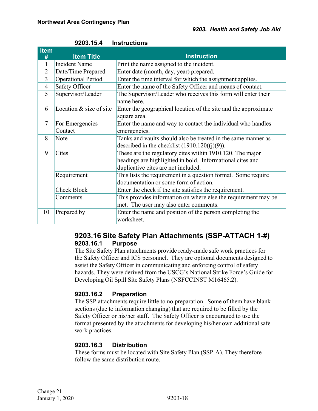| <b>Item</b><br># | <b>Item Title</b>          | <b>Instruction</b>                                                                                                                                            |
|------------------|----------------------------|---------------------------------------------------------------------------------------------------------------------------------------------------------------|
|                  | <b>Incident Name</b>       | Print the name assigned to the incident.                                                                                                                      |
| $\overline{2}$   | Date/Time Prepared         | Enter date (month, day, year) prepared.                                                                                                                       |
| 3                | Operational Period         | Enter the time interval for which the assignment applies.                                                                                                     |
| $\overline{4}$   | Safety Officer             | Enter the name of the Safety Officer and means of contact.                                                                                                    |
| 5                | Supervisor/Leader          | The Supervisor/Leader who receives this form will enter their<br>name here.                                                                                   |
| 6                | Location & size of site    | Enter the geographical location of the site and the approximate<br>square area.                                                                               |
| $\tau$           | For Emergencies<br>Contact | Enter the name and way to contact the individual who handles<br>emergencies.                                                                                  |
| 8                | Note                       | Tanks and vaults should also be treated in the same manner as<br>described in the checklist $(1910.120((i)(9))$ .                                             |
| 9                | Cites                      | These are the regulatory cites within 1910.120. The major<br>headings are highlighted in bold. Informational cites and<br>duplicative cites are not included. |
|                  | Requirement                | This lists the requirement in a question format. Some require<br>documentation or some form of action.                                                        |
|                  | <b>Check Block</b>         | Enter the check if the site satisfies the requirement.                                                                                                        |
|                  | Comments                   | This provides information on where else the requirement may be<br>met. The user may also enter comments.                                                      |
| 10               | Prepared by                | Enter the name and position of the person completing the<br>worksheet.                                                                                        |

<span id="page-20-0"></span>

| 9203.15.4<br><b>Instructions</b> |
|----------------------------------|
|----------------------------------|

#### <span id="page-20-1"></span>**9203.16 Site Safety Plan Attachments (SSP-ATTACH 1-#) 9203.16.1 Purpose**

<span id="page-20-2"></span>The Site Safety Plan attachments provide ready-made safe work practices for the Safety Officer and ICS personnel. They are optional documents designed to assist the Safety Officer in communicating and enforcing control of safety hazards. They were derived from the USCG's National Strike Force's Guide for Developing Oil Spill Site Safety Plans (NSFCCINST M16465.2).

#### <span id="page-20-3"></span>**9203.16.2 Preparation**

The SSP attachments require little to no preparation. Some of them have blank sections (due to information changing) that are required to be filled by the Safety Officer or his/her staff. The Safety Officer is encouraged to use the format presented by the attachments for developing his/her own additional safe work practices.

#### <span id="page-20-4"></span>**9203.16.3 Distribution**

These forms must be located with Site Safety Plan (SSP-A). They therefore follow the same distribution route.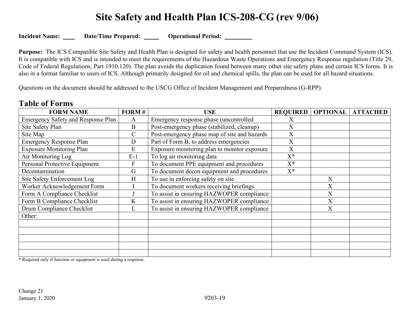## **Site Safety and Health Plan ICS-208-CG (rev 9/06)**

**Incident Name:** Date/Time Prepared: Operational Period:

**Purpose:** The ICS Compatible Site Safety and Health Plan is designed for safety and health personnel that use the Incident Command System (ICS). It is compatible with ICS and is intended to meet the requirements of the Hazardous Waste Operations and Emergency Response regulation (Title 29, Code of Federal Regulations, Part 1910.120). The plan avoids the duplication found between many other site safety plans and certain ICS forms. It is also in a format familiar to users of ICS. Although primarily designed for oil and chemical spills, the plan can be used for all hazard situations.

Questions on the document should be addressed to the USCG Office of Incident Management and Preparedness (G-RPP).

| <b>FORM NAME</b>                          | FORM#        | <b>USE</b>                                   | <b>REQUIRED</b>  | <b>OPTIONAL</b> | <b>ATTACHED</b> |
|-------------------------------------------|--------------|----------------------------------------------|------------------|-----------------|-----------------|
| <b>Emergency Safety and Response Plan</b> | $\mathbf{A}$ | Emergency response phase (uncontrolled       | X                |                 |                 |
| Site Safety Plan                          | B            | Post-emergency phase (stabilized, cleanup)   | X                |                 |                 |
| Site Map                                  | $\mathsf{C}$ | Post-emergency phase map of site and hazards | $\boldsymbol{X}$ |                 |                 |
| <b>Emergency Response Plan</b>            | D            | Part of Form B, to address emergencies       | X                |                 |                 |
| <b>Exposure Monitoring Plan</b>           | E            | Exposure monitoring plan to monitor exposure | X                |                 |                 |
| Air Monitoring Log                        | $E-1$        | To log air monitoring data                   | $X^*$            |                 |                 |
| Personal Protective Equipment             | F            | To document PPE equipment and procedures     | $X^*$            |                 |                 |
| Decontamination                           | G            | To document decon equipment and procedures   | $X^*$            |                 |                 |
| Site Safety Enforcement Log               | H            | To use in enforcing safety on site           |                  | X               |                 |
| Worker Acknowledgement Form               |              | To document workers receiving briefings      |                  | X               |                 |
| Form A Compliance Checklist               |              | To assist in ensuring HAZWOPER compliance    |                  | X               |                 |
| Form B Compliance Checklist               | $\rm K$      | To assist in ensuring HAZWOPER compliance    |                  | X               |                 |
| Drum Compliance Checklist                 | L            | To assist in ensuring HAZWOPER compliance    |                  | X               |                 |
| Other:                                    |              |                                              |                  |                 |                 |
|                                           |              |                                              |                  |                 |                 |
|                                           |              |                                              |                  |                 |                 |
|                                           |              |                                              |                  |                 |                 |
|                                           |              |                                              |                  |                 |                 |
|                                           |              |                                              |                  |                 |                 |

#### **Table of Forms**

\* Required only if function or equipment is used during a response.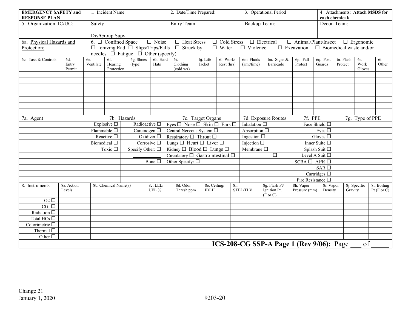| <b>EMERGENCY SAFETY and</b><br><b>RESPONSE PLAN</b> |            |           | 1. Incident Name:                      |                                               | 2. Date/Time Prepared: |                                                 |              | 3. Operational Period  |                     | 4. Attachments: Attach MSDS for<br>each chemical/ |                            |                                            |                                |                  |                 |
|-----------------------------------------------------|------------|-----------|----------------------------------------|-----------------------------------------------|------------------------|-------------------------------------------------|--------------|------------------------|---------------------|---------------------------------------------------|----------------------------|--------------------------------------------|--------------------------------|------------------|-----------------|
| 5. Organization IC/UC:                              |            |           | Safety:                                |                                               | Entry Team:            |                                                 |              | Backup Team:           |                     | Decon Team:                                       |                            |                                            |                                |                  |                 |
|                                                     |            |           |                                        |                                               |                        |                                                 |              |                        |                     |                                                   |                            |                                            |                                |                  |                 |
| 6a. Physical Hazards and                            |            |           | Div/Group Supv:<br>6. □ Confined Space |                                               | $\Box$ Noise           | $\Box$ Heat Stress                              |              | □ Cold Stress          |                     | $\Box$ Electrical                                 | $\Box$ Animal/Plant/Insect |                                            |                                | $\Box$ Ergonomic |                 |
| Protection:                                         |            |           |                                        | $\Box$ Ionizing Rad $\Box$ Slips/Trips/Falls  |                        | $\Box$ Struck by                                |              | $\hfill \square$ Water | $\Box$ Violence     |                                                   | $\Box$ Excavation          |                                            | $\Box$ Biomedical waste and/or |                  |                 |
|                                                     |            |           |                                        | needles $\Box$ Fatigue $\Box$ Other (specify) |                        |                                                 |              |                        |                     |                                                   |                            |                                            |                                |                  |                 |
| 6c. Task & Controls                                 | 6d.        | 6e.       | 6f.                                    | 6g. Shoes                                     | 6h. Hard               | 6i.                                             | 6j. Life     | 61. Work/              | $6m.$ Fluids        | $\overline{6n}$ . Signs &                         | 6p. Fall                   | 6q. Post                                   | 6r. Flash                      | 6s.              | 6t.             |
|                                                     | Entry      | Ventilate | Hearing                                | (type)                                        | Hats                   | Clothing                                        | Jacket       | Rest (hrs)             | (amt/time)          | Barricade                                         | Protect                    | Guards                                     | Protect                        | Work             | Other           |
|                                                     | Permit     |           | Protection                             |                                               |                        | (cold wx)                                       |              |                        |                     |                                                   |                            |                                            |                                | Gloves           |                 |
|                                                     |            |           |                                        |                                               |                        |                                                 |              |                        |                     |                                                   |                            |                                            |                                |                  |                 |
|                                                     |            |           |                                        |                                               |                        |                                                 |              |                        |                     |                                                   |                            |                                            |                                |                  |                 |
|                                                     |            |           |                                        |                                               |                        |                                                 |              |                        |                     |                                                   |                            |                                            |                                |                  |                 |
|                                                     |            |           |                                        |                                               |                        |                                                 |              |                        |                     |                                                   |                            |                                            |                                |                  |                 |
|                                                     |            |           |                                        |                                               |                        |                                                 |              |                        |                     |                                                   |                            |                                            |                                |                  |                 |
|                                                     |            |           |                                        |                                               |                        |                                                 |              |                        |                     |                                                   |                            |                                            |                                |                  |                 |
| 7a. Agent                                           |            |           |                                        | 7b. Hazards                                   |                        | 7c. Target Organs                               |              |                        | 7d Exposure Routes  |                                                   | 7f. PPE<br>7g. Type of PPE |                                            |                                |                  |                 |
|                                                     |            |           | Explosive $\square$                    | Radioactive $\square$                         |                        | Eyes $\Box$ Nose $\Box$ Skin $\Box$ Ears $\Box$ |              | Inhalation $\square$   |                     | Face Shield $\Box$                                |                            |                                            |                                |                  |                 |
|                                                     |            |           | Flammable $\square$                    | Carcinogen $\Box$                             |                        | Central Nervous System □                        |              | Absorption $\Box$      |                     |                                                   | Eyes $\square$             |                                            |                                |                  |                 |
|                                                     |            |           | Reactive $\square$                     | Oxidizer $\square$                            |                        | Respiratory $\Box$ Throat $\Box$                |              | Ingestion $\square$    |                     |                                                   | Gloves $\square$           |                                            |                                |                  |                 |
|                                                     |            |           | Biomedical $\Box$                      | Corrosive $\square$                           |                        | Lungs $\Box$ Heart $\Box$ Liver $\Box$          |              |                        | Injection $\square$ |                                                   |                            | Inner Suite $\square$                      |                                |                  |                 |
|                                                     |            |           | Toxic $\square$                        | Specify Other: $\square$                      |                        | Kidney $\Box$ Blood $\Box$ Lungs $\Box$         |              |                        | Membrane $\square$  |                                                   |                            | Splash Suit $\square$                      |                                |                  |                 |
|                                                     |            |           |                                        |                                               |                        | Circulatory $\Box$ Gastrointestinal $\Box$      |              |                        | $\overline{\Box}$   |                                                   | Level A Suit $\Box$        |                                            |                                |                  |                 |
|                                                     |            |           |                                        |                                               | Bone $\square$         | Other Specify: $\square$                        |              | $SCBA \Box APR \Box$   |                     |                                                   |                            |                                            |                                |                  |                 |
|                                                     |            |           |                                        |                                               |                        |                                                 |              |                        |                     |                                                   |                            | SAR $\overline{\Box}$<br>Cartridges $\Box$ |                                |                  |                 |
|                                                     |            |           |                                        |                                               |                        |                                                 |              |                        |                     |                                                   | Fire Resistance $\Box$     |                                            |                                |                  |                 |
| 8. Instruments                                      | 8a. Action |           | 8b. Chemical Name(s)                   |                                               | 8c. LEL/               | 8d. Odor                                        | 8e. Ceiling/ | 8f.                    |                     | 8g. Flash Pt/                                     | 8h. Vapor                  | 8i. Vapor                                  |                                | 8j. Specific     | 81. Boiling     |
|                                                     | Levels     |           |                                        |                                               | UEL %                  | Thresh ppm                                      | <b>IDLH</b>  |                        | <b>STEL/TLV</b>     | Ignition Pt.<br>$(F \text{ or } C)$               | Pressure (mm)              | Density                                    | Gravity                        |                  | Pt $(F$ or $C)$ |
| $O2$ $\square$                                      |            |           |                                        |                                               |                        |                                                 |              |                        |                     |                                                   |                            |                                            |                                |                  |                 |
| CGI                                                 |            |           |                                        |                                               |                        |                                                 |              |                        |                     |                                                   |                            |                                            |                                |                  |                 |
| Radiation $\square$                                 |            |           |                                        |                                               |                        |                                                 |              |                        |                     |                                                   |                            |                                            |                                |                  |                 |
| Total HCs $\Box$                                    |            |           |                                        |                                               |                        |                                                 |              |                        |                     |                                                   |                            |                                            |                                |                  |                 |
| Colorimetric $\Box$                                 |            |           |                                        |                                               |                        |                                                 |              |                        |                     |                                                   |                            |                                            |                                |                  |                 |
| Thermal $\Box$                                      |            |           |                                        |                                               |                        |                                                 |              |                        |                     |                                                   |                            |                                            |                                |                  |                 |
| Other $\Box$                                        |            |           |                                        |                                               |                        |                                                 |              |                        |                     |                                                   |                            |                                            |                                |                  |                 |
|                                                     |            |           |                                        |                                               |                        |                                                 |              |                        |                     | ICS-208-CG SSP-A Page 1 (Rev 9/06): Page          |                            |                                            |                                | of               |                 |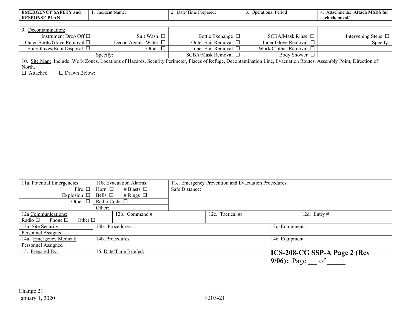| <b>EMERGENCY SAFETY and</b><br><b>RESPONSE PLAN</b>   | 1. Incident Name:                                                                                                                                                    | 2. Date/Time Prepared:                               | 3. Operational Period               | 4. Attachments: Attach MSDS for<br>each chemical/ |  |  |  |  |  |
|-------------------------------------------------------|----------------------------------------------------------------------------------------------------------------------------------------------------------------------|------------------------------------------------------|-------------------------------------|---------------------------------------------------|--|--|--|--|--|
|                                                       |                                                                                                                                                                      |                                                      |                                     |                                                   |  |  |  |  |  |
| 9. Decontamination:                                   |                                                                                                                                                                      |                                                      |                                     |                                                   |  |  |  |  |  |
| Instrument Drop Off □                                 | Suit Wash □                                                                                                                                                          | Bottle Exchange □                                    | SCBA/Mask Rinse □                   | Intervening Steps $\Box$                          |  |  |  |  |  |
| Outer Boots/Glove Removal □                           | Decon Agent: Water □                                                                                                                                                 | Outer Suit Removal □                                 | Inner Glove Removal □               | Specify:                                          |  |  |  |  |  |
| Suit/Gloves/Boot Disposal □                           | Other: $\square$                                                                                                                                                     | Inner Suit Removal □                                 | Work Clothes Removal □              |                                                   |  |  |  |  |  |
|                                                       | Specify:                                                                                                                                                             | SCBA/Mask Removal □                                  | Body Shower $\Box$                  |                                                   |  |  |  |  |  |
|                                                       | 10. Site Map: Include: Work Zones, Locations of Hazards, Security Perimeter, Places of Refuge, Decontamination Line, Evacuation Routes, Assembly Point, Direction of |                                                      |                                     |                                                   |  |  |  |  |  |
| North,                                                |                                                                                                                                                                      |                                                      |                                     |                                                   |  |  |  |  |  |
| □ Drawn Below:<br>□ Attached                          |                                                                                                                                                                      |                                                      |                                     |                                                   |  |  |  |  |  |
|                                                       |                                                                                                                                                                      |                                                      |                                     |                                                   |  |  |  |  |  |
|                                                       |                                                                                                                                                                      |                                                      |                                     |                                                   |  |  |  |  |  |
|                                                       |                                                                                                                                                                      |                                                      |                                     |                                                   |  |  |  |  |  |
|                                                       |                                                                                                                                                                      |                                                      |                                     |                                                   |  |  |  |  |  |
|                                                       |                                                                                                                                                                      |                                                      |                                     |                                                   |  |  |  |  |  |
|                                                       |                                                                                                                                                                      |                                                      |                                     |                                                   |  |  |  |  |  |
|                                                       |                                                                                                                                                                      |                                                      |                                     |                                                   |  |  |  |  |  |
|                                                       |                                                                                                                                                                      |                                                      |                                     |                                                   |  |  |  |  |  |
|                                                       |                                                                                                                                                                      |                                                      |                                     |                                                   |  |  |  |  |  |
|                                                       |                                                                                                                                                                      |                                                      |                                     |                                                   |  |  |  |  |  |
|                                                       |                                                                                                                                                                      |                                                      |                                     |                                                   |  |  |  |  |  |
|                                                       |                                                                                                                                                                      |                                                      |                                     |                                                   |  |  |  |  |  |
|                                                       |                                                                                                                                                                      |                                                      |                                     |                                                   |  |  |  |  |  |
|                                                       |                                                                                                                                                                      |                                                      |                                     |                                                   |  |  |  |  |  |
|                                                       |                                                                                                                                                                      |                                                      |                                     |                                                   |  |  |  |  |  |
|                                                       |                                                                                                                                                                      |                                                      |                                     |                                                   |  |  |  |  |  |
|                                                       |                                                                                                                                                                      |                                                      |                                     |                                                   |  |  |  |  |  |
| 11a. Potential Emergencies:                           | 11b. Evacuation Alarms:                                                                                                                                              | 11c. Emergency Prevention and Evacuation Procedures: |                                     |                                                   |  |  |  |  |  |
| Fire $\Box$                                           | # Blasts $\Box$<br>Horn $\Box$                                                                                                                                       | Safe Distance:                                       |                                     |                                                   |  |  |  |  |  |
| Explosion $\Box$                                      | Bells $\square$<br># Rings $\Box$                                                                                                                                    |                                                      |                                     |                                                   |  |  |  |  |  |
| Other $\Box$                                          | Radio Code □                                                                                                                                                         |                                                      |                                     |                                                   |  |  |  |  |  |
|                                                       | Other:                                                                                                                                                               |                                                      |                                     |                                                   |  |  |  |  |  |
| 12a Communications:                                   | 12b. Command#                                                                                                                                                        | 12c. Tactical #:                                     |                                     | 12d. Entry $#$                                    |  |  |  |  |  |
| Radio $\square$<br>Phone $\square$<br>Other $\square$ |                                                                                                                                                                      |                                                      |                                     |                                                   |  |  |  |  |  |
| 13a. Site Security:                                   | 13b. Procedures:                                                                                                                                                     |                                                      | 13c. Equipment:                     |                                                   |  |  |  |  |  |
| Personnel Assigned                                    |                                                                                                                                                                      |                                                      |                                     |                                                   |  |  |  |  |  |
| 14a. Emergency Medical:                               | 14b. Procedures:                                                                                                                                                     |                                                      | 14c. Equipment                      |                                                   |  |  |  |  |  |
| Personnel Assigned                                    |                                                                                                                                                                      |                                                      |                                     |                                                   |  |  |  |  |  |
| 15. Prepared By:                                      | 16. Date/Time Briefed:                                                                                                                                               |                                                      | <b>ICS-208-CG SSP-A Page 2 (Rev</b> |                                                   |  |  |  |  |  |
|                                                       |                                                                                                                                                                      |                                                      |                                     |                                                   |  |  |  |  |  |
|                                                       |                                                                                                                                                                      |                                                      | of<br>$9/06$ : Page                 |                                                   |  |  |  |  |  |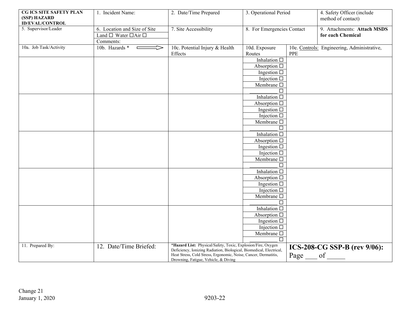| CG ICS SITE SAFETY PLAN<br>(SSP) HAZARD<br><b>ID/EVAL/CONTROL</b> | 1. Incident Name:                            | 2. Date/Time Prepared                                                                                                                  | 3. Operational Period                  |              | 4. Safety Officer (include<br>method of contact) |
|-------------------------------------------------------------------|----------------------------------------------|----------------------------------------------------------------------------------------------------------------------------------------|----------------------------------------|--------------|--------------------------------------------------|
| 5. Supervisor/Leader                                              | 6. Location and Size of Site                 | 7. Site Accessibility                                                                                                                  | 8. For Emergencies Contact             |              | 9. Attachments: Attach MSDS                      |
|                                                                   | Land $\square$ Water $\square$ Air $\square$ |                                                                                                                                        |                                        |              | for each Chemical                                |
|                                                                   | Comments:                                    |                                                                                                                                        |                                        |              |                                                  |
| 10a. Job Task/Activity                                            | 10b. Hazards *<br>VI<br>$\Box$               | 10c. Potential Injury & Health                                                                                                         | 10d. Exposure                          |              | 10e. Controls: Engineering, Administrative,      |
|                                                                   |                                              | Effects                                                                                                                                | Routes                                 | PPE          |                                                  |
|                                                                   |                                              |                                                                                                                                        | Inhalation $\square$                   |              |                                                  |
|                                                                   |                                              |                                                                                                                                        | Absorption $\square$                   |              |                                                  |
|                                                                   |                                              |                                                                                                                                        | Ingestion $\square$                    |              |                                                  |
|                                                                   |                                              |                                                                                                                                        | Injection $\square$                    |              |                                                  |
|                                                                   |                                              |                                                                                                                                        | Membrane $\Box$                        |              |                                                  |
|                                                                   |                                              |                                                                                                                                        |                                        |              |                                                  |
|                                                                   |                                              |                                                                                                                                        | Inhalation $\Box$                      |              |                                                  |
|                                                                   |                                              |                                                                                                                                        | Absorption $\square$                   |              |                                                  |
|                                                                   |                                              |                                                                                                                                        | Ingestion $\square$                    |              |                                                  |
|                                                                   |                                              |                                                                                                                                        | Injection $\square$                    |              |                                                  |
|                                                                   |                                              |                                                                                                                                        | Membrane $\Box$                        |              |                                                  |
|                                                                   |                                              |                                                                                                                                        |                                        |              |                                                  |
|                                                                   |                                              |                                                                                                                                        | Inhalation $\Box$                      |              |                                                  |
|                                                                   |                                              |                                                                                                                                        | Absorption $\square$                   |              |                                                  |
|                                                                   |                                              |                                                                                                                                        | Ingestion $\square$                    |              |                                                  |
|                                                                   |                                              |                                                                                                                                        | Injection $\square$<br>Membrane $\Box$ |              |                                                  |
|                                                                   |                                              |                                                                                                                                        |                                        |              |                                                  |
|                                                                   |                                              |                                                                                                                                        | Inhalation $\Box$                      |              |                                                  |
|                                                                   |                                              |                                                                                                                                        | Absorption $\square$                   |              |                                                  |
|                                                                   |                                              |                                                                                                                                        | Ingestion $\square$                    |              |                                                  |
|                                                                   |                                              |                                                                                                                                        | Injection $\square$                    |              |                                                  |
|                                                                   |                                              |                                                                                                                                        | Membrane $\Box$                        |              |                                                  |
|                                                                   |                                              |                                                                                                                                        | П                                      |              |                                                  |
|                                                                   |                                              |                                                                                                                                        | Inhalation $\Box$                      |              |                                                  |
|                                                                   |                                              |                                                                                                                                        | Absorption $\square$                   |              |                                                  |
|                                                                   |                                              |                                                                                                                                        | Ingestion $\square$                    |              |                                                  |
|                                                                   |                                              |                                                                                                                                        | Injection $\square$                    |              |                                                  |
|                                                                   |                                              |                                                                                                                                        | Membrane $\Box$                        |              |                                                  |
|                                                                   |                                              |                                                                                                                                        | $\Box$                                 |              |                                                  |
| 11. Prepared By:                                                  | 12. Date/Time Briefed:                       | *Hazard List: Physical/Safety, Toxic, Explosion/Fire, Oxygen                                                                           |                                        |              | ICS-208-CG SSP-B (rev 9/06):                     |
|                                                                   |                                              | Deficiency, Ionizing Radiation, Biological, Biomedical, Electrical,<br>Heat Stress, Cold Stress, Ergonomic, Noise, Cancer, Dermatitis, |                                        |              |                                                  |
|                                                                   |                                              | Drowning, Fatigue, Vehicle, & Diving                                                                                                   |                                        | Page __ of _ |                                                  |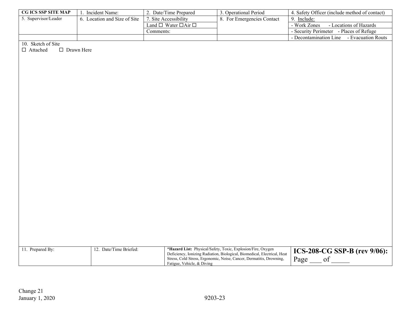| <b>CG ICS SSP SITE MAP</b> | Incident Name:            | 2. Date/Time Prepared               | 3. Operational Period      | 4. Safety Officer (include method of contact) |
|----------------------------|---------------------------|-------------------------------------|----------------------------|-----------------------------------------------|
| 5. Supervisor/Leader       | Location and Size of Site | . Site Accessibility                | 8. For Emergencies Contact | 9. Include:                                   |
|                            |                           | Land $\Box$ Water $\Box$ Air $\Box$ |                            | - Work Zones<br>- Locations of Hazards        |
|                            |                           | Comments:                           |                            | - Security Perimeter - Places of Refuge       |
|                            |                           |                                     |                            | - Decontamination Line<br>- Evacuation Routs  |

10. Sketch of Site

□ Attached □ Drawn Here

| 11. Prepared By: | 12. Date/Time Briefed: | * <b>Hazard List:</b> Physical/Safety, Toxic, Explosion/Fire, Oxygen<br>Deficiency, Ionizing Radiation, Biological, Biomedical, Electrical, Heat<br>Stress, Cold Stress, Ergonomic, Noise, Cancer, Dermatitis, Drowning,<br>Fatigue, Vehicle, & Diving | $\frac{1}{2}$ ICS-208-CG SSP-B (rev 9/06):<br>Page |
|------------------|------------------------|--------------------------------------------------------------------------------------------------------------------------------------------------------------------------------------------------------------------------------------------------------|----------------------------------------------------|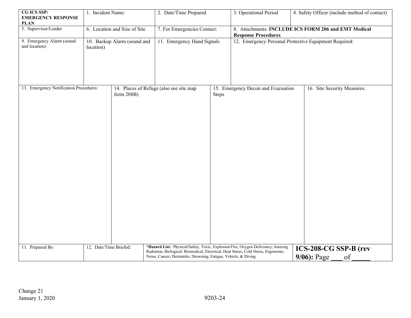| CG ICS SSP:<br><b>EMERGENCY RESPONSE</b><br><b>PLAN</b> | 1. Incident Name:            |                             | 2. Date/Time Prepared                                                                                                                                                                                                                       |       | 3. Operational Period                                                              | 4. Safety Officer (include method of contact) |  |
|---------------------------------------------------------|------------------------------|-----------------------------|---------------------------------------------------------------------------------------------------------------------------------------------------------------------------------------------------------------------------------------------|-------|------------------------------------------------------------------------------------|-----------------------------------------------|--|
| 5. Supervisor/Leader                                    | 6. Location and Size of Site |                             | 7. For Emergencies Contact:                                                                                                                                                                                                                 |       | 8. Attachments: INCLUDE ICS FORM 206 and EMT Medical<br><b>Response Procedures</b> |                                               |  |
| 9. Emergency Alarm (sound<br>and location)              | location)                    | 10. Backup Alarm (sound and | 11. Emergency Hand Signals                                                                                                                                                                                                                  |       | 12. Emergency Personal Protective Equipment Required:                              |                                               |  |
| 13. Emergency Notification Procedures:                  |                              | form 208B)                  | 14. Places of Refuge (also see site map                                                                                                                                                                                                     | Steps | 15. Emergency Decon and Evacuation                                                 | 16. Site Security Measures:                   |  |
| 11. Prepared By:<br>12. Date/Time Briefed:              |                              |                             | *Hazard List: Physical/Safety, Toxic, Explosion/Fire, Oxygen Deficiency, Ionizing<br>Radiation, Biological, Biomedical, Electrical, Heat Stress, Cold Stress, Ergonomic,<br>Noise, Cancer, Dermatitis, Drowning, Fatigue, Vehicle, & Diving |       |                                                                                    | ICS-208-CG SSP-B (rev<br>$9/06$ : Page<br>of  |  |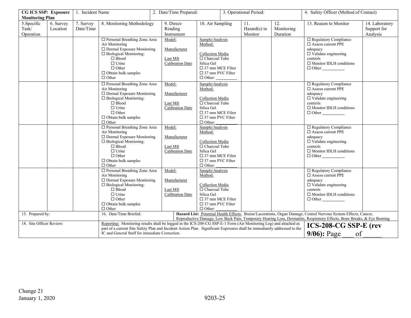| <b>CG ICS SSP: Exposure</b>       |                        | 1. Incident Name       |                                                                                                                                                                                                                                                                                                 | 2. Date/Time Prepared:                       |                                                     | 3. Operational Period:                                                                                                                                      |                                                                                                                                                                                                                                             | 4. Safety Officer (Method of Contact) |                                                                                                                                                                    |                                           |
|-----------------------------------|------------------------|------------------------|-------------------------------------------------------------------------------------------------------------------------------------------------------------------------------------------------------------------------------------------------------------------------------------------------|----------------------------------------------|-----------------------------------------------------|-------------------------------------------------------------------------------------------------------------------------------------------------------------|---------------------------------------------------------------------------------------------------------------------------------------------------------------------------------------------------------------------------------------------|---------------------------------------|--------------------------------------------------------------------------------------------------------------------------------------------------------------------|-------------------------------------------|
| <b>Monitoring Plan</b>            |                        |                        |                                                                                                                                                                                                                                                                                                 |                                              |                                                     |                                                                                                                                                             |                                                                                                                                                                                                                                             |                                       |                                                                                                                                                                    |                                           |
| 5. Specific<br>Task/<br>Operation | 6. Survey<br>Location  | 7. Survey<br>Date/Time | 8. Monitoring Methodology                                                                                                                                                                                                                                                                       |                                              | 9. Direct-<br>Reading<br>Instrument                 | 10. Air Sampling                                                                                                                                            | 11.<br>$Hazard(s)$ to<br>Monitor                                                                                                                                                                                                            | 12.<br>Monitoring<br>Duration         | 13. Reason to Monitor                                                                                                                                              | 14. Laboratory<br>Support for<br>Analysis |
|                                   |                        |                        | □ Personal Breathing Zone Area<br>Air Monitoring<br>$\Box$ Dermal Exposure Monitoring<br>□ Biological Monitoring:<br>$\Box$ Blood<br>$\Box$ Urine<br>$\Box$ Other<br>$\Box$ Obtain bulk samples<br>$\Box$ Other                                                                                 | Model:                                       | Manufacturer<br>Last Mfr<br>Calibration Date        | Sample/Analysis<br>Method:<br>Collection Media<br>$\Box$ Charcoal Tube<br>Silica Gel<br>$\Box$ 37 mm MCE Filter<br>$\Box$ 37 mm PVC Filter<br>$\Box$ Other: |                                                                                                                                                                                                                                             |                                       | $\Box$ Regulatory Compliance<br>$\Box$ Assess current PPE<br>adequacy<br>$\Box$ Validate engineering<br>controls<br>$\Box$ Monitor IDLH conditions<br>$\Box$ Other |                                           |
|                                   |                        |                        | □ Personal Breathing Zone Area<br>Air Monitoring<br>$\Box$ Dermal Exposure Monitoring<br>$\Box$ Biological Monitoring:<br>$\Box$ Blood<br>$\Box$ Urine<br>$\Box$ Other<br>$\Box$ Obtain bulk samples<br>$\Box$ Other                                                                            | Model:                                       | Manufacturer<br>Last Mfr<br><b>Calibration Date</b> | Sample/Analysis<br>Method:<br>Collection Media<br>$\Box$ Charcoal Tube<br>Silica Gel<br>$\Box$ 37 mm MCE Filter<br>$\Box$ 37 mm PVC Filter<br>$\Box$ Other: |                                                                                                                                                                                                                                             |                                       | $\Box$ Regulatory Compliance<br>□ Assess current PPE<br>adequacy<br>$\Box$ Validate engineering<br>controls<br>$\Box$ Monitor IDLH conditions<br>$\Box$ Other      |                                           |
|                                   |                        |                        | □ Personal Breathing Zone Area<br>Air Monitoring<br>$\Box$ Dermal Exposure Monitoring<br>$\Box$ Biological Monitoring:<br>$\Box$ Blood<br>$\Box$ Urine<br>$\Box$ Other<br>$\Box$ Obtain bulk samples<br>$\Box$ Other                                                                            | Model:                                       | Manufacturer<br>Last Mfr<br>Calibration Date        | Sample/Analysis<br>Method:<br>Collection Media<br>$\Box$ Charcoal Tube<br>Silica Gel<br>$\Box$ 37 mm MCE Filter<br>$\Box$ 37 mm PVC Filter<br>$\Box$ Other: |                                                                                                                                                                                                                                             |                                       | $\Box$ Regulatory Compliance<br>□ Assess current PPE<br>adequacy<br>$\Box$ Validate engineering<br>controls<br>$\Box$ Monitor IDLH conditions<br>$\Box$ Other      |                                           |
|                                   |                        |                        | □ Personal Breathing Zone Area<br>Air Monitoring<br>$\Box$ Dermal Exposure Monitoring<br>$\Box$ Biological Monitoring:<br>$\Box$ Blood<br>$\Box$ Urine<br>$\Box$ Other<br>$\Box$ Obtain bulk samples<br>$\Box$ Other                                                                            | Model:                                       | Manufacturer<br>Last Mfr<br><b>Calibration Date</b> | Sample/Analysis<br>Method:<br>Collection Media<br>$\Box$ Charcoal Tube<br>Silica Gel<br>$\Box$ 37 mm MCE Filter<br>$\Box$ 37 mm PVC Filter<br>$\Box$ Other: |                                                                                                                                                                                                                                             |                                       | □ Regulatory Compliance<br>□ Assess current PPE<br>adequacy<br>$\square$ Validate engineering<br>controls<br>$\Box$ Monitor IDLH conditions<br>$\Box$ Other        |                                           |
| 15. Prepared by:                  | 16. Date/Time Briefed: |                        |                                                                                                                                                                                                                                                                                                 |                                              |                                                     |                                                                                                                                                             | Hazard List: Potential Health Effects: Bruise/Lacerations, Organ Damage, Central Nervous System Effects, Cancer,<br>Reproductive Damage, Low Back Pain, Temporary Hearing Loss, Dermatitis, Respiratory Effects, Bone Breaks, & Eye Burning |                                       |                                                                                                                                                                    |                                           |
| 18. Site Officer Review:          |                        |                        | Reporting: Monitoring results shall be logged in the ICS-208-CG SSP-E-1 Form (Air Monitoring Log) and attached as<br>part of a current Site Safety Plan and Incident Action Plan. Significant Exposures shall be immediately addressed to the<br>IC and General Staff for immediate Correction. | ICS-208-CG SSP-E (rev<br>of<br>$9/06$ : Page |                                                     |                                                                                                                                                             |                                                                                                                                                                                                                                             |                                       |                                                                                                                                                                    |                                           |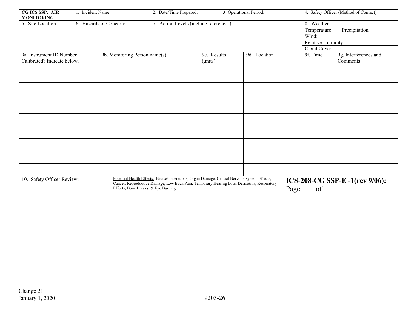| <b>CG ICS SSP: AIR</b><br><b>MONITORING</b>                                                                                                                                                                                                                     | 1. Incident Name       |  | 2. Date/Time Prepared:                 |      | 3. Operational Period: |                               | 4. Safety Officer (Method of Contact) |                                   |  |
|-----------------------------------------------------------------------------------------------------------------------------------------------------------------------------------------------------------------------------------------------------------------|------------------------|--|----------------------------------------|------|------------------------|-------------------------------|---------------------------------------|-----------------------------------|--|
| 5. Site Location                                                                                                                                                                                                                                                | 6. Hazards of Concern: |  | 7. Action Levels (include references): |      |                        |                               | 8. Weather                            |                                   |  |
|                                                                                                                                                                                                                                                                 |                        |  |                                        |      |                        |                               | Precipitation<br>Temperature:         |                                   |  |
|                                                                                                                                                                                                                                                                 |                        |  |                                        |      |                        |                               | Wind:                                 |                                   |  |
|                                                                                                                                                                                                                                                                 |                        |  |                                        |      |                        |                               | Relative Humidity:                    |                                   |  |
|                                                                                                                                                                                                                                                                 |                        |  |                                        |      |                        |                               | Cloud Cover                           |                                   |  |
| 9a. Instrument ID Number<br>Calibrated? Indicate below.                                                                                                                                                                                                         |                        |  | 9b. Monitoring Person name(s)          |      |                        | 9d. Location                  |                                       | 9g. Interferences and<br>Comments |  |
|                                                                                                                                                                                                                                                                 |                        |  |                                        |      |                        |                               |                                       |                                   |  |
|                                                                                                                                                                                                                                                                 |                        |  |                                        |      |                        |                               |                                       |                                   |  |
|                                                                                                                                                                                                                                                                 |                        |  |                                        |      |                        |                               |                                       |                                   |  |
|                                                                                                                                                                                                                                                                 |                        |  |                                        |      |                        |                               |                                       |                                   |  |
|                                                                                                                                                                                                                                                                 |                        |  |                                        |      |                        |                               |                                       |                                   |  |
|                                                                                                                                                                                                                                                                 |                        |  |                                        |      |                        |                               |                                       |                                   |  |
|                                                                                                                                                                                                                                                                 |                        |  |                                        |      |                        |                               |                                       |                                   |  |
|                                                                                                                                                                                                                                                                 |                        |  |                                        |      |                        |                               |                                       |                                   |  |
|                                                                                                                                                                                                                                                                 |                        |  |                                        |      |                        |                               |                                       |                                   |  |
|                                                                                                                                                                                                                                                                 |                        |  |                                        |      |                        |                               |                                       |                                   |  |
|                                                                                                                                                                                                                                                                 |                        |  |                                        |      |                        |                               |                                       |                                   |  |
|                                                                                                                                                                                                                                                                 |                        |  |                                        |      |                        |                               |                                       |                                   |  |
|                                                                                                                                                                                                                                                                 |                        |  |                                        |      |                        |                               |                                       |                                   |  |
|                                                                                                                                                                                                                                                                 |                        |  |                                        |      |                        |                               |                                       |                                   |  |
|                                                                                                                                                                                                                                                                 |                        |  |                                        |      |                        |                               |                                       |                                   |  |
|                                                                                                                                                                                                                                                                 |                        |  |                                        |      |                        |                               |                                       |                                   |  |
|                                                                                                                                                                                                                                                                 |                        |  |                                        |      |                        |                               |                                       |                                   |  |
| Potential Health Effects: Bruise/Lacerations, Organ Damage, Central Nervous System Effects,<br>10. Safety Officer Review:<br>Cancer, Reproductive Damage, Low Back Pain, Temporary Hearing Loss, Dermatitis, Respiratory<br>Effects, Bone Breaks, & Eye Burning |                        |  |                                        | Page | of                     | ICS-208-CG SSP-E-1(rev 9/06): |                                       |                                   |  |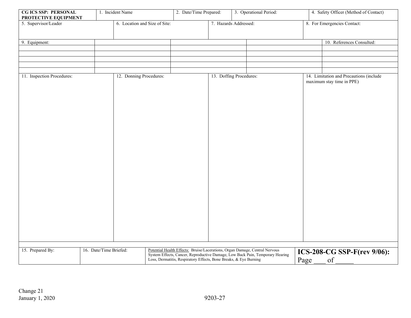| <b>CG ICS SSP: PERSONAL</b><br>PROTECTIVE EQUIPMENT |  | 1. Incident Name              |                                                                                                                                                                                                                                   | 2. Date/Time Prepared: | 3. Operational Period:  |  |      | 4. Safety Officer (Method of Contact) |                                                                      |  |
|-----------------------------------------------------|--|-------------------------------|-----------------------------------------------------------------------------------------------------------------------------------------------------------------------------------------------------------------------------------|------------------------|-------------------------|--|------|---------------------------------------|----------------------------------------------------------------------|--|
| 5. Supervisor/Leader                                |  | 6. Location and Size of Site: |                                                                                                                                                                                                                                   |                        | 7. Hazards Addressed:   |  |      | 8. For Emergencies Contact:           |                                                                      |  |
|                                                     |  |                               |                                                                                                                                                                                                                                   |                        |                         |  |      |                                       |                                                                      |  |
| 9. Equipment:                                       |  |                               |                                                                                                                                                                                                                                   |                        |                         |  |      |                                       | 10. References Consulted:                                            |  |
|                                                     |  |                               |                                                                                                                                                                                                                                   |                        |                         |  |      |                                       |                                                                      |  |
|                                                     |  |                               |                                                                                                                                                                                                                                   |                        |                         |  |      |                                       |                                                                      |  |
| 11. Inspection Procedures:                          |  | 12. Donning Procedures:       |                                                                                                                                                                                                                                   |                        | 13. Doffing Procedures: |  |      |                                       | 14. Limitation and Precautions (include<br>maximum stay time in PPE) |  |
|                                                     |  |                               |                                                                                                                                                                                                                                   |                        |                         |  |      |                                       |                                                                      |  |
| 15. Prepared By:<br>16. Date/Time Briefed:          |  |                               | Potential Health Effects: Bruise/Lacerations, Organ Damage, Central Nervous<br>System Effects, Cancer, Reproductive Damage, Low Back Pain, Temporary Hearing<br>Loss, Dermatitis, Respiratory Effects, Bone Breaks, & Eye Burning |                        |                         |  | Page | ICS-208-CG SSP-F(rev 9/06):<br>of     |                                                                      |  |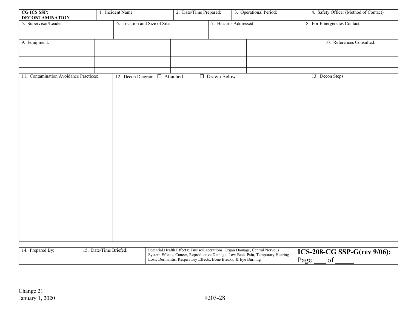| CG ICS SSP:<br><b>DECONTAMINATION</b>  |                        | 1. Incident Name                   |                                                                   | 2. Date/Time Prepared:                                                      |                       | 3. Operational Period:                                                        |  | 4. Safety Officer (Method of Contact) |
|----------------------------------------|------------------------|------------------------------------|-------------------------------------------------------------------|-----------------------------------------------------------------------------|-----------------------|-------------------------------------------------------------------------------|--|---------------------------------------|
| 5. Supervisor/Leader                   |                        | 6. Location and Size of Site:      |                                                                   |                                                                             | 7. Hazards Addressed: |                                                                               |  | 8. For Emergencies Contact:           |
| 9. Equipment:                          |                        |                                    |                                                                   |                                                                             |                       |                                                                               |  | 10. References Consulted:             |
|                                        |                        |                                    |                                                                   |                                                                             |                       |                                                                               |  |                                       |
|                                        |                        |                                    |                                                                   |                                                                             |                       |                                                                               |  |                                       |
| 11. Contamination Avoidance Practices: |                        | 12. Decon Diagram: $\Box$ Attached |                                                                   |                                                                             | □ Drawn Below         |                                                                               |  | 13. Decon Steps                       |
|                                        |                        |                                    |                                                                   |                                                                             |                       |                                                                               |  |                                       |
|                                        |                        |                                    |                                                                   |                                                                             |                       |                                                                               |  |                                       |
|                                        |                        |                                    |                                                                   |                                                                             |                       |                                                                               |  |                                       |
|                                        |                        |                                    |                                                                   |                                                                             |                       |                                                                               |  |                                       |
|                                        |                        |                                    |                                                                   |                                                                             |                       |                                                                               |  |                                       |
|                                        |                        |                                    |                                                                   |                                                                             |                       |                                                                               |  |                                       |
|                                        |                        |                                    |                                                                   |                                                                             |                       |                                                                               |  |                                       |
|                                        |                        |                                    |                                                                   |                                                                             |                       |                                                                               |  |                                       |
|                                        |                        |                                    |                                                                   |                                                                             |                       |                                                                               |  |                                       |
|                                        |                        |                                    |                                                                   |                                                                             |                       |                                                                               |  |                                       |
|                                        |                        |                                    |                                                                   |                                                                             |                       |                                                                               |  |                                       |
|                                        |                        |                                    |                                                                   |                                                                             |                       |                                                                               |  |                                       |
|                                        |                        |                                    |                                                                   |                                                                             |                       |                                                                               |  |                                       |
| 14. Prepared By:                       | 15. Date/Time Briefed: |                                    |                                                                   | Potential Health Effects: Bruise/Lacerations, Organ Damage, Central Nervous |                       | System Effects, Cancer, Reproductive Damage, Low Back Pain, Temporary Hearing |  | ICS-208-CG SSP-G(rev 9/06):           |
|                                        |                        |                                    | Loss, Dermatitis, Respiratory Effects, Bone Breaks, & Eye Burning |                                                                             |                       | of<br>Page                                                                    |  |                                       |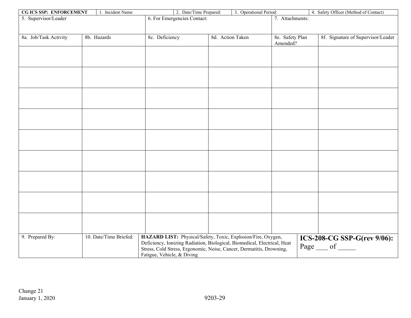| 4. Safety Officer (Method of Contact)<br>6. For Emergencies Contact:<br>7. Attachments:<br>5. Supervisor/Leader<br>8a. Job/Task Activity<br>8b. Hazards<br>8c. Deficiency<br>8d. Action Taken<br>8f. Signature of Supervisor/Leader<br>8e. Safety Plan<br>Amended? |
|--------------------------------------------------------------------------------------------------------------------------------------------------------------------------------------------------------------------------------------------------------------------|
|                                                                                                                                                                                                                                                                    |
|                                                                                                                                                                                                                                                                    |
|                                                                                                                                                                                                                                                                    |
|                                                                                                                                                                                                                                                                    |
|                                                                                                                                                                                                                                                                    |
|                                                                                                                                                                                                                                                                    |
|                                                                                                                                                                                                                                                                    |
|                                                                                                                                                                                                                                                                    |
|                                                                                                                                                                                                                                                                    |
|                                                                                                                                                                                                                                                                    |
|                                                                                                                                                                                                                                                                    |
|                                                                                                                                                                                                                                                                    |
|                                                                                                                                                                                                                                                                    |
|                                                                                                                                                                                                                                                                    |
|                                                                                                                                                                                                                                                                    |
|                                                                                                                                                                                                                                                                    |
|                                                                                                                                                                                                                                                                    |
|                                                                                                                                                                                                                                                                    |
|                                                                                                                                                                                                                                                                    |
|                                                                                                                                                                                                                                                                    |
|                                                                                                                                                                                                                                                                    |
|                                                                                                                                                                                                                                                                    |
|                                                                                                                                                                                                                                                                    |
|                                                                                                                                                                                                                                                                    |
|                                                                                                                                                                                                                                                                    |
|                                                                                                                                                                                                                                                                    |
|                                                                                                                                                                                                                                                                    |
|                                                                                                                                                                                                                                                                    |
|                                                                                                                                                                                                                                                                    |
|                                                                                                                                                                                                                                                                    |
|                                                                                                                                                                                                                                                                    |
|                                                                                                                                                                                                                                                                    |
|                                                                                                                                                                                                                                                                    |
|                                                                                                                                                                                                                                                                    |
| 9. Prepared By:<br>10. Date/Time Briefed:<br>HAZARD LIST: Physical/Safety, Toxic, Explosion/Fire, Oxygen,<br>ICS-208-CG SSP-G(rev 9/06):                                                                                                                           |
| Deficiency, Ionizing Radiation, Biological, Biomedical, Electrical, Heat<br>Page __ of<br>Stress, Cold Stress, Ergonomic, Noise, Cancer, Dermatitis, Drowning,                                                                                                     |
| Fatigue, Vehicle, & Diving                                                                                                                                                                                                                                         |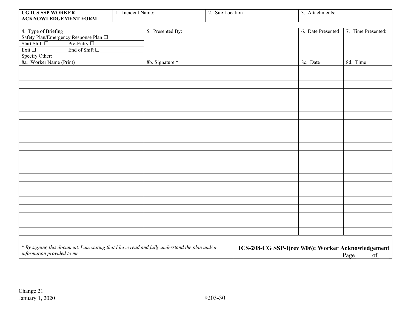| <b>CG ICS SSP WORKER</b><br><b>ACKNOWLEDGEMENT FORM</b>                                        | 1. Incident Name: |                  | 2. Site Location                                   |  |                   |                    |  |
|------------------------------------------------------------------------------------------------|-------------------|------------------|----------------------------------------------------|--|-------------------|--------------------|--|
|                                                                                                |                   |                  |                                                    |  |                   |                    |  |
| 4. Type of Briefing                                                                            |                   | 5. Presented By: |                                                    |  | 6. Date Presented | 7. Time Presented: |  |
| Safety Plan/Emergency Response Plan □                                                          |                   |                  |                                                    |  |                   |                    |  |
| Start Shift □<br>Pre-Entry $\Box$                                                              |                   |                  |                                                    |  |                   |                    |  |
| End of Shift $\square$<br>Exit $\square$                                                       |                   |                  |                                                    |  |                   |                    |  |
| Specify Other:                                                                                 |                   |                  |                                                    |  |                   |                    |  |
| 8a. Worker Name (Print)                                                                        |                   | 8b. Signature *  |                                                    |  | 8c. Date          | 8d. Time           |  |
|                                                                                                |                   |                  |                                                    |  |                   |                    |  |
|                                                                                                |                   |                  |                                                    |  |                   |                    |  |
|                                                                                                |                   |                  |                                                    |  |                   |                    |  |
|                                                                                                |                   |                  |                                                    |  |                   |                    |  |
|                                                                                                |                   |                  |                                                    |  |                   |                    |  |
|                                                                                                |                   |                  |                                                    |  |                   |                    |  |
|                                                                                                |                   |                  |                                                    |  |                   |                    |  |
|                                                                                                |                   |                  |                                                    |  |                   |                    |  |
|                                                                                                |                   |                  |                                                    |  |                   |                    |  |
|                                                                                                |                   |                  |                                                    |  |                   |                    |  |
|                                                                                                |                   |                  |                                                    |  |                   |                    |  |
|                                                                                                |                   |                  |                                                    |  |                   |                    |  |
|                                                                                                |                   |                  |                                                    |  |                   |                    |  |
|                                                                                                |                   |                  |                                                    |  |                   |                    |  |
|                                                                                                |                   |                  |                                                    |  |                   |                    |  |
|                                                                                                |                   |                  |                                                    |  |                   |                    |  |
|                                                                                                |                   |                  |                                                    |  |                   |                    |  |
|                                                                                                |                   |                  |                                                    |  |                   |                    |  |
|                                                                                                |                   |                  |                                                    |  |                   |                    |  |
|                                                                                                |                   |                  |                                                    |  |                   |                    |  |
|                                                                                                |                   |                  |                                                    |  |                   |                    |  |
|                                                                                                |                   |                  |                                                    |  |                   |                    |  |
|                                                                                                |                   |                  |                                                    |  |                   |                    |  |
| * By signing this document, I am stating that I have read and fully understand the plan and/or |                   |                  | ICS-208-CG SSP-I(rev 9/06): Worker Acknowledgement |  |                   |                    |  |
| information provided to me.                                                                    |                   |                  |                                                    |  |                   | of<br>Page         |  |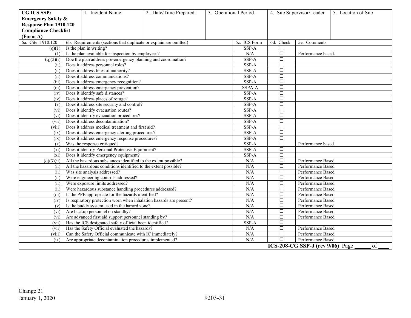| CG ICS SSP:                   |                                                         | 1. Incident Name:                                                            | 2. Date/Time Prepared:    |                   | 3. Operational Period. |           | 4. Site Supervisor/Leader        | 5. Location of Site |
|-------------------------------|---------------------------------------------------------|------------------------------------------------------------------------------|---------------------------|-------------------|------------------------|-----------|----------------------------------|---------------------|
| <b>Emergency Safety &amp;</b> |                                                         |                                                                              |                           |                   |                        |           |                                  |                     |
| Response Plan 1910.120        |                                                         |                                                                              |                           |                   |                        |           |                                  |                     |
| <b>Compliance Checklist</b>   |                                                         |                                                                              |                           |                   |                        |           |                                  |                     |
| (Form A)                      |                                                         |                                                                              |                           |                   |                        |           |                                  |                     |
| 6a. Cite: 1910.120            |                                                         | 6b. Requirements (sections that duplicate or explain are omitted)            |                           |                   | 6c. ICS Form           | 6d. Check | 5e. Comments                     |                     |
| (q)(1)                        |                                                         | Is the plan in writing?                                                      |                           | SSP-A             | □                      |           |                                  |                     |
|                               |                                                         | $(1)$ Is the plan available for inspection by employees?                     |                           |                   | N/A                    | $\Box$    | Performance based.               |                     |
| (q)(2)(i)                     |                                                         | Doe the plan address pre-emergency planning and coordination?                |                           |                   | SSP-A                  | $\Box$    |                                  |                     |
| (ii)                          |                                                         | Does it address personnel roles?                                             |                           |                   | SSP-A                  | $\Box$    |                                  |                     |
| (ii)                          |                                                         | Does it address lines of authority?                                          |                           |                   | SSP-A                  | $\Box$    |                                  |                     |
| (ii)                          |                                                         | Does it address communications?                                              |                           |                   | SSP-A                  | $\Box$    |                                  |                     |
| (iii)                         |                                                         | Does it address emergency recognition?                                       |                           |                   | SSP-A                  | $\Box$    |                                  |                     |
| (iii)                         |                                                         | Does it address emergency prevention?                                        |                           |                   | SSPA-A                 | $\Box$    |                                  |                     |
| (iv)                          |                                                         | Does it identify safe distances?                                             |                           |                   | SSP-A                  | $\Box$    |                                  |                     |
| (iv)                          |                                                         | Does it address places of refuge?                                            |                           |                   | SSP-A                  | $\Box$    |                                  |                     |
| (v)                           |                                                         | Does it address site security and control?                                   |                           |                   | SSP-A                  | $\Box$    |                                  |                     |
| $(v_i)$                       |                                                         | Does it identify evacuation routes?                                          |                           |                   | SSP-A                  | $\Box$    |                                  |                     |
| $(v_i)$                       |                                                         | Does it identify evacuation procedures?                                      |                           |                   | SSP-A                  | $\Box$    |                                  |                     |
| (vii)                         |                                                         | Does it address decontamination?                                             |                           |                   | SSP-A                  | $\Box$    |                                  |                     |
| (viii)                        |                                                         | Does it address medical treatment and first aid?                             |                           |                   | SSP-A                  | $\Box$    |                                  |                     |
| (ix)                          |                                                         | Does it address emergency alerting procedures?                               |                           |                   | SSP-A                  | $\Box$    |                                  |                     |
| (ix)                          |                                                         | Does it address emergency response procedures?                               |                           |                   | SSP-A                  | $\Box$    |                                  |                     |
| (x)                           |                                                         | Was the response critiqued?                                                  |                           |                   | SSP-A                  | $\Box$    | Performance based                |                     |
| $(x_i)$                       |                                                         | Does it identify Personal Protective Equipment?                              |                           |                   | SSP-A                  | $\Box$    |                                  |                     |
|                               |                                                         | $(x_i)$ Does it identify emergency equipment?                                |                           |                   | SSP-A                  | $\Box$    |                                  |                     |
|                               |                                                         | $(q)(3)(ii)$ All the hazardous substances identified to the extent possible? |                           |                   | N/A                    | $\Box$    | Performance Based                |                     |
| (ii)                          |                                                         | All the hazardous conditions identified to the extent possible?              |                           |                   | N/A                    | $\Box$    | Performance Based                |                     |
| (ii)                          |                                                         | Was site analysis addressed?                                                 |                           |                   | N/A                    | $\Box$    | Performance Based                |                     |
| (ii)                          |                                                         | Were engineering controls addressed?                                         |                           |                   | N/A                    | $\Box$    | Performance Based                |                     |
| (ii)                          |                                                         | Were exposure limits addressed?                                              |                           |                   | N/A                    | □         | Performance Based                |                     |
| (ii)                          |                                                         | Were hazardous substance handling procedures addressed?                      |                           |                   | N/A                    | $\Box$    | Performance Based                |                     |
| $(iii)$                       |                                                         | Is the PPE appropriate for the hazards identified?                           |                           |                   | N/A                    | $\Box$    | Performance Based                |                     |
| (iv)                          |                                                         | Is respiratory protection worn when inhalation hazards are present?          |                           |                   | N/A                    | $\Box$    | Performance Based                |                     |
| (v)                           |                                                         | Is the buddy system used in the hazard zone?                                 |                           |                   | N/A                    | $\Box$    | Performance Based                |                     |
|                               |                                                         | (vi) Are backup personnel on standby?                                        |                           |                   | N/A                    | $\Box$    | Performance Based                |                     |
|                               |                                                         | $(vi)$ Are advanced first aid support personnel standing by?                 |                           |                   | N/A                    | $\Box$    | Performance Based                |                     |
| (vii)                         |                                                         | Has the ICS designated safety official been identified?                      | $\overline{\text{SSP-A}}$ | $\Box$            |                        |           |                                  |                     |
| (vii)                         |                                                         | Has the Safety Official evaluated the hazards?                               | N/A                       | $\Box$            | Performance Based      |           |                                  |                     |
| (viii)                        |                                                         | Can the Safety Official communicate with IC immediately?                     | N/A                       | $\Box$            | Performance Based      |           |                                  |                     |
| (ix)                          | Are appropriate decontamination procedures implemented? | N/A                                                                          | $\Box$                    | Performance Based |                        |           |                                  |                     |
|                               |                                                         |                                                                              |                           |                   |                        |           | ICS-208-CG SSP-J (rev 9/06) Page | of                  |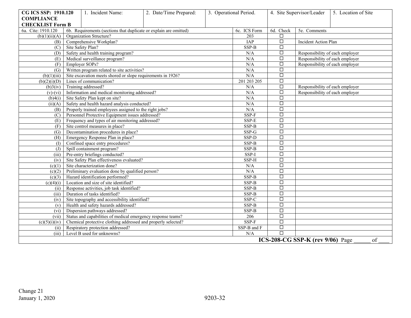| CG ICS SSP: 1910.120    | 1. Incident Name:                                                                            | 2. Date/Time Prepared: |             | 3. Operational Period. |                   | 4. Site Supervisor/Leader                                          | 5. Location of Site |  |
|-------------------------|----------------------------------------------------------------------------------------------|------------------------|-------------|------------------------|-------------------|--------------------------------------------------------------------|---------------------|--|
| <b>COMPLIANCE</b>       |                                                                                              |                        |             |                        |                   |                                                                    |                     |  |
| <b>CHECKLIST Form B</b> |                                                                                              |                        |             |                        |                   |                                                                    |                     |  |
| 6a. Cite: 1910.120      | 6b. Requirements (sections that duplicate or explain are omitted)<br>Organization Structure? |                        |             | 6c. ICS Form<br>203    | 6d. Check<br>□    | 5e. Comments                                                       |                     |  |
| (b)(1)(ii)(A)           | Comprehensive Workplan?                                                                      |                        |             | <b>IAP</b>             | $\Box$            | <b>Incident Action Plan</b>                                        |                     |  |
| (B)                     | Site Safety Plan?                                                                            |                        |             | SSP-B                  | □                 |                                                                    |                     |  |
| (C)                     | Safety and health training program?                                                          |                        |             | N/A                    | □                 | Responsibility of each employer                                    |                     |  |
| (D)<br>(E)              | Medical surveillance program?                                                                |                        | N/A         | $\Box$                 |                   |                                                                    |                     |  |
| (F)                     | Employer SOPs?                                                                               |                        |             | N/A                    | $\Box$            | Responsibility of each employer<br>Responsibility of each employer |                     |  |
| (G)                     | Written program related to site activities?                                                  |                        |             | N/A                    | □                 |                                                                    |                     |  |
|                         | Site excavation meets shored or slope requirements in 1926?                                  |                        |             | N/A                    | □                 |                                                                    |                     |  |
| (b)(1)(iii)             | $(b)(2)(i)(D)$ Lines of communication?                                                       |                        |             | 201 203 205            | $\Box$            |                                                                    |                     |  |
|                         | Training addressed?                                                                          |                        |             | N/A                    | $\overline{\Box}$ |                                                                    |                     |  |
| (b)3(iv)                | Information and medical monitoring addressed?                                                |                        |             | N/A                    | $\Box$            | Responsibility of each employer<br>Responsibility of each employer |                     |  |
| $(v)$ - $(vi)$          | Site Safety Plan kept on site?                                                               |                        |             | N/A                    | $\Box$            |                                                                    |                     |  |
| (b)4(i)                 | Safety and health hazard analysis conducted?                                                 |                        |             |                        | □                 |                                                                    |                     |  |
| (ii)(A)                 |                                                                                              |                        |             | N/A                    |                   |                                                                    |                     |  |
| (B)                     | Properly trained employees assigned to the right jobs?                                       |                        |             | N/A<br>SSP-F           | $\Box$            |                                                                    |                     |  |
| (C)                     | Personnel Protective Equipment issues addressed?                                             |                        |             |                        | $\Box$<br>$\Box$  |                                                                    |                     |  |
| (E)                     | Frequency and types of air monitoring addressed?                                             |                        |             | SSP-E<br>$SSP-B$       |                   |                                                                    |                     |  |
| (F)                     | Site control measures in place?                                                              |                        |             |                        | $\Box$            |                                                                    |                     |  |
| (G)                     | Decontamination procedures in place?                                                         |                        |             | SSP-G                  | □                 |                                                                    |                     |  |
| (H)                     | Emergency Response Plan in place?                                                            |                        |             | SSP-D                  | $\Box$            |                                                                    |                     |  |
| (1)                     | Confined space entry procedures?                                                             |                        |             | $SSP-B$                | $\Box$            |                                                                    |                     |  |
| (J)                     | Spill containment program?                                                                   |                        |             | SSP-B                  | $\Box$            |                                                                    |                     |  |
| (iii)                   | Pre-entry briefings conducted?                                                               |                        |             | SSP-I                  | □                 |                                                                    |                     |  |
| (iv)                    | Site Safety Plan effectiveness evaluated?                                                    |                        |             | SSP-H                  | $\Box$            |                                                                    |                     |  |
| (c)(1)                  | Site characterization done?                                                                  |                        |             | N/A                    | $\overline{\Box}$ |                                                                    |                     |  |
| (c)(2)                  | Preliminary evaluation done by qualified person?                                             |                        |             | N/A                    | $\Box$            |                                                                    |                     |  |
| (c)(3)                  | Hazard identification performed?                                                             |                        |             | SSP-B                  | $\Box$            |                                                                    |                     |  |
| (c)(4)(i)               | Location and size of site identified?                                                        |                        |             | $SSP-B$                | $\Box$            |                                                                    |                     |  |
| (ii)                    | Response activities, job task identified?                                                    |                        |             | SSP-B                  | $\Box$            |                                                                    |                     |  |
| (iii)                   | Duration of tasks identified?                                                                |                        |             | $SSP-B$                | $\Box$            |                                                                    |                     |  |
| (iv)                    | Site topography and accessibility identified?                                                |                        |             | SSP-C                  | $\Box$            |                                                                    |                     |  |
| (v)                     | Health and safety hazards addressed?                                                         |                        |             | SSP-B                  | $\Box$            |                                                                    |                     |  |
| (vi)                    | Dispersion pathways addressed?                                                               |                        |             | SSP-B                  | $\Box$            |                                                                    |                     |  |
| (vii)                   | Status and capabilities of medical emergency response teams?                                 |                        | 206         | $\Box$                 |                   |                                                                    |                     |  |
| (c)(5)(i)(iv)           | Chemical protective clothing addressed and properly selected?                                |                        | $SSP-F$     | $\Box$                 |                   |                                                                    |                     |  |
| (ii)                    | Respiratory protection addressed?                                                            |                        | SSP-B and F | $\Box$                 |                   |                                                                    |                     |  |
| (iii)                   | Level B used for unknowns?                                                                   |                        |             | N/A                    | $\Box$            |                                                                    |                     |  |
|                         |                                                                                              |                        |             |                        |                   | ICS-208-CG SSP-K (rev $9/06$ ) Page                                | of                  |  |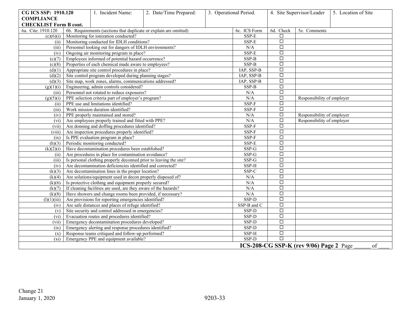| CG ICS SSP: 1910.120          | 1. Incident Name:                                                 | 2. Date/Time Prepared: |                   | 3. Operational Period. | 4. Site Supervisor/Leader  |                                         | 5. Location of Site |
|-------------------------------|-------------------------------------------------------------------|------------------------|-------------------|------------------------|----------------------------|-----------------------------------------|---------------------|
| <b>COMPLIANCE</b>             |                                                                   |                        |                   |                        |                            |                                         |                     |
| <b>CHECKLIST Form B cont.</b> |                                                                   |                        |                   |                        |                            |                                         |                     |
| 6a. Cite: 1910.120            | 6b. Requirements (sections that duplicate or explain are omitted) |                        |                   | 6c. ICS Form           | 6d. Check                  | 5e. Comments                            |                     |
| (c)(6)(i)                     | Monitoring for ionization conducted?                              |                        |                   | SSP-E                  | $\Box$                     |                                         |                     |
| (ii)                          | Monitoring conducted for IDLH conditions?                         |                        |                   | SSP-E                  | $\Box$                     |                                         |                     |
| (iii)                         | Personnel looking out for dangers of IDLH environments?           |                        |                   | N/A                    | $\Box$                     |                                         |                     |
| (iv)                          | Ongoing air monitoring program in place?                          |                        | SSP-E             | $\Box$                 |                            |                                         |                     |
| (c)(7)                        | Employees informed of potential hazard occurrence?                |                        | SSP-B             | $\Box$                 |                            |                                         |                     |
| (c)(8)                        | Properties of each chemical made aware to employees?              |                        |                   | $SSP-B$                | $\Box$                     |                                         |                     |
| (d)(1)                        | Appropriate site control procedures in place?                     |                        |                   | IAP, SSP-B             | $\overline{\Box}$          |                                         |                     |
| (d)(2)                        | Site control program developed during planning stages?            |                        |                   | IAP, SSP-B             | $\overline{\square}$       |                                         |                     |
| (d)(3)                        | Site map, work zones, alarms, communications addressed?           |                        |                   | IAP, SSP-B             | $\overline{\Box}$          |                                         |                     |
| (g)(1)(i)                     | Engineering, admin controls considered?                           |                        | SSP-B             | $\Box$                 |                            |                                         |                     |
| (iii)                         | Personnel not rotated to reduce exposures?                        |                        | N/A               | $\overline{\Box}$      |                            |                                         |                     |
| (g)(5)(i)                     | PPE selection criteria part of employer's program?                |                        | N/A               | $\Box$                 | Responsibility of employer |                                         |                     |
| (ii)                          | PPE use and limitations identified?                               |                        |                   | SSP-F                  | $\Box$                     |                                         |                     |
| (iii)                         | Work mission duration identified?                                 |                        | SSP-F             | $\Box$                 |                            |                                         |                     |
| (iv)                          | PPE properly maintained and stored?                               |                        |                   | N/A                    | $\Box$                     | Responsibility of employer              |                     |
| $(v_i)$                       | Are employees properly trained and fitted with PPE?               |                        |                   | N/A                    | $\Box$                     | Responsibility of employer              |                     |
| (vii)                         | Are donning and doffing procedures identified?                    |                        |                   | $SSP-F$                | $\Box$                     |                                         |                     |
| (viii)                        | Are inspection procedures properly identified?                    |                        |                   | SSP-F                  | $\Box$                     |                                         |                     |
| (ix)                          | Is PPE evaluation program in place?                               |                        |                   | SSP-F                  | $\Box$                     |                                         |                     |
| (h)(3)                        | Periodic monitoring conducted?                                    |                        |                   | SSP-E                  | $\overline{\Box}$          |                                         |                     |
| (k)(2)(i)                     | Have decontamination procedures been established?                 |                        |                   | $SSP-G$                | $\overline{\square}$       |                                         |                     |
| (ii)                          | Are procedures in place for contamination avoidance?              |                        |                   | SSP-G                  | $\Box$                     |                                         |                     |
| (iii)                         | Is personal clothing properly deconned prior to leaving the site? |                        |                   | $SSP-G$                | $\overline{\Box}$          |                                         |                     |
| (iv)                          | Are decontamination deficiencies identified and corrected?        |                        |                   | SSP-H                  | $\overline{\square}$       |                                         |                     |
| (k)(3)                        | Are decontamination lines in the proper location?                 |                        |                   | SSP-C                  | $\overline{\Box}$          |                                         |                     |
| (k)(4)                        | Are solutions/equipment used in decon properly disposed of?       |                        |                   | N/A                    | $\Box$                     |                                         |                     |
| (k)(6)                        | Is protective clothing and equipment properly secured?            |                        |                   | N/A                    | $\overline{\Box}$          |                                         |                     |
| (k)(7)                        | If cleaning facilities are used, are they aware of the hazards?   |                        |                   | N/A                    | $\Box$                     |                                         |                     |
| (k)(8)                        | Have showers and change rooms been provided, if necessary?        |                        |                   | N/A                    | $\Box$                     |                                         |                     |
| (1)(1)(iii)                   | Are provisions for reporting emergencies identified?              |                        |                   | SSP-D                  | $\Box$                     |                                         |                     |
| (iv)                          | Are safe distances and places of refuge identified?               |                        |                   | SSP-B and C            | $\Box$                     |                                         |                     |
| (v)                           | Site security and control addressed in emergencies?               |                        |                   | SSP-D                  | $\Box$                     |                                         |                     |
| $(v_i)$                       | Evacuation routes and procedures identified?                      |                        |                   | SSP-D                  | $\Box$                     |                                         |                     |
| (vii)                         | Emergency decontamination procedures developed?                   | SSP-D                  | $\Box$            |                        |                            |                                         |                     |
| (ix)                          | Emergency alerting and response procedures identified?            | SSP-D                  | $\overline{\Box}$ |                        |                            |                                         |                     |
| (x)                           | Response teams critiqued and follow-up performed?                 | SSP-H                  | $\overline{\Box}$ |                        |                            |                                         |                     |
| $(x_i)$                       | Emergency PPE and equipment available?                            |                        |                   | SSP-D                  | П                          |                                         |                     |
|                               |                                                                   |                        |                   |                        |                            | ICS-208-CG SSP-K (rev 9/06) Page 2 Page | of                  |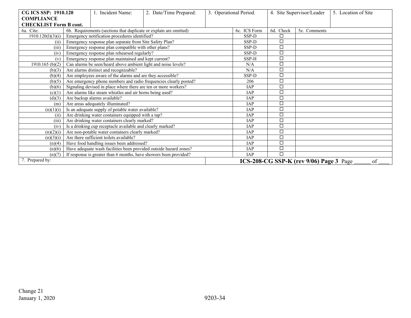| CG ICS SSP: 1910.120          | Incident Name:                                                    | 2. Date/Time Prepared: | 3. Operational Period. |              |           | 4. Site Supervisor/Leader               | 5. Location of Site |
|-------------------------------|-------------------------------------------------------------------|------------------------|------------------------|--------------|-----------|-----------------------------------------|---------------------|
| <b>COMPLIANCE</b>             |                                                                   |                        |                        |              |           |                                         |                     |
| <b>CHECKLIST Form B cont.</b> |                                                                   |                        |                        |              |           |                                         |                     |
| 6a. Cite:                     | 6b. Requirements (sections that duplicate or explain are omitted) |                        |                        | 6c. ICS Form | 6d. Check | 5e. Comments                            |                     |
| 1910.120(1)(3)(i)             | Emergency notification procedures identified?                     |                        |                        | SSP-D        | □         |                                         |                     |
| (ii)                          | Emergency response plan separate from Site Safety Plan?           |                        |                        | SSP-D        | $\Box$    |                                         |                     |
| (iii)                         | Emergency response plan compatible with other plans?              |                        |                        | SSP-D        | $\Box$    |                                         |                     |
| (iv)                          | Emergency response plan rehearsed regularly?                      |                        |                        | SSP-D        | □         |                                         |                     |
| (v)                           | Emergency response plan maintained and kept current?              |                        |                        | SSP-H        | $\Box$    |                                         |                     |
| $1910.165$ (b)(2)             | Can alarms be seen/heard above ambient light and noise levels?    |                        |                        | N/A          | $\Box$    |                                         |                     |
| (b)(3)                        | Are alarms distinct and recognizable?                             |                        |                        | N/A          | $\Box$    |                                         |                     |
| (b)(4)                        | Are employees aware of the alarms and are they accessible?        |                        |                        | SSP-D        | $\Box$    |                                         |                     |
| (b)(5)                        | Are emergency phone numbers and radio frequencies clearly posted? |                        |                        | 206          | $\Box$    |                                         |                     |
| (b)(6)                        | Signaling devised in place where there are ten or more workers?   |                        |                        | <b>IAP</b>   | $\Box$    |                                         |                     |
| (c)(1)                        | Are alarms like steam whistles and air horns being used?          |                        |                        | <b>JAP</b>   | $\Box$    |                                         |                     |
| (d)(3)                        | Are backup alarms available?                                      |                        |                        | <b>JAP</b>   | $\Box$    |                                         |                     |
| (m)                           | Are areas adequately illuminated?                                 |                        |                        | <b>JAP</b>   | □         |                                         |                     |
| (n)(1)(i)                     | Is an adequate supply of potable water available?                 |                        |                        | <b>JAP</b>   | $\Box$    |                                         |                     |
| (ii)                          | Are drinking water containers equipped with a tap?                |                        |                        | <b>IAP</b>   | $\Box$    |                                         |                     |
| (iii)                         | Are drinking water containers clearly marked?                     |                        |                        | <b>JAP</b>   | $\Box$    |                                         |                     |
| (iv)                          | Is a drinking cup receptacle available and clearly marked?        |                        |                        | <b>IAP</b>   | $\Box$    |                                         |                     |
| (n)(2)(i)                     | Are non-potable water containers clearly marked?                  |                        |                        | <b>JAP</b>   | □         |                                         |                     |
| (n)(3)(i)                     | Are there sufficient toilets available?                           |                        |                        | <b>IAP</b>   | $\Box$    |                                         |                     |
| (n)(4)                        | Have food handling issues been addressed?                         |                        | <b>IAP</b>             | $\Box$       |           |                                         |                     |
| (n)(6)                        | Have adequate wash facilities been provided outside hazard zones? |                        | <b>IAP</b>             | $\Box$       |           |                                         |                     |
| (n)(7)                        | If response is greater than 6 months, have showers been provided? |                        |                        | <b>IAP</b>   | $\Box$    |                                         |                     |
| 7. Prepared by:               |                                                                   |                        |                        |              |           | ICS-208-CG SSP-K (rev 9/06) Page 3 Page | of                  |